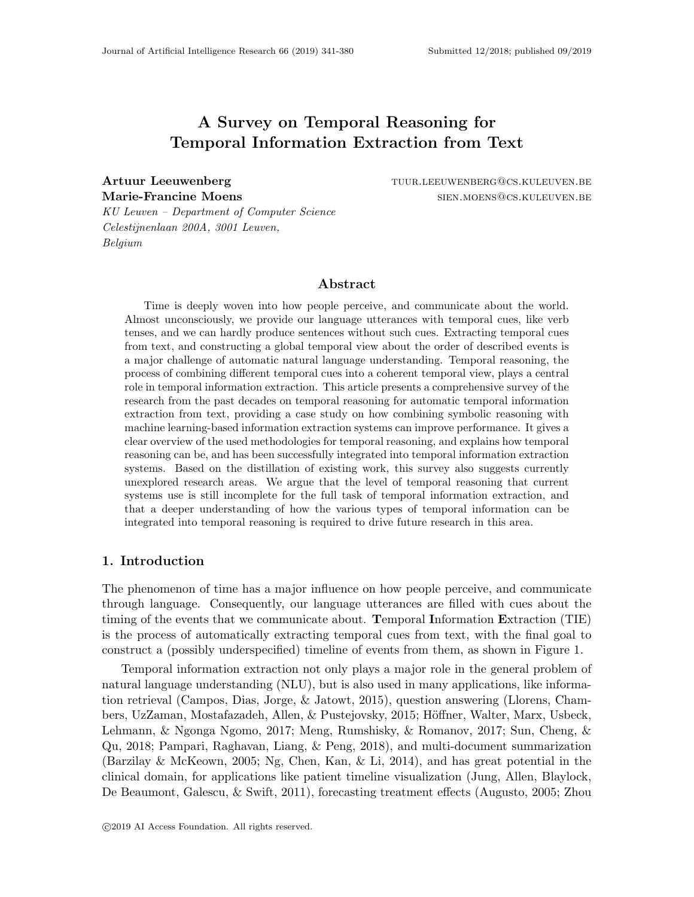# A Survey on Temporal Reasoning for Temporal Information Extraction from Text

Artuur Leeuwenberg tuur.leeuwenberg tuur.leeuwenberg tuur.leeuwenberg@cs.kuleuven.be Marie-Francine Moens sien. Moens sien. Moens sien. Moens sien. Moens sien. Moens sien in de steen aan de steen

KU Leuven – Department of Computer Science Celestijnenlaan 200A, 3001 Leuven, Belgium

## Abstract

Time is deeply woven into how people perceive, and communicate about the world. Almost unconsciously, we provide our language utterances with temporal cues, like verb tenses, and we can hardly produce sentences without such cues. Extracting temporal cues from text, and constructing a global temporal view about the order of described events is a major challenge of automatic natural language understanding. Temporal reasoning, the process of combining different temporal cues into a coherent temporal view, plays a central role in temporal information extraction. This article presents a comprehensive survey of the research from the past decades on temporal reasoning for automatic temporal information extraction from text, providing a case study on how combining symbolic reasoning with machine learning-based information extraction systems can improve performance. It gives a clear overview of the used methodologies for temporal reasoning, and explains how temporal reasoning can be, and has been successfully integrated into temporal information extraction systems. Based on the distillation of existing work, this survey also suggests currently unexplored research areas. We argue that the level of temporal reasoning that current systems use is still incomplete for the full task of temporal information extraction, and that a deeper understanding of how the various types of temporal information can be integrated into temporal reasoning is required to drive future research in this area.

## 1. Introduction

The phenomenon of time has a major influence on how people perceive, and communicate through language. Consequently, our language utterances are filled with cues about the timing of the events that we communicate about. Temporal Information Extraction (TIE) is the process of automatically extracting temporal cues from text, with the final goal to construct a (possibly underspecified) timeline of events from them, as shown in Figure 1.

Temporal information extraction not only plays a major role in the general problem of natural language understanding (NLU), but is also used in many applications, like information retrieval (Campos, Dias, Jorge, & Jatowt, 2015), question answering (Llorens, Chambers, UzZaman, Mostafazadeh, Allen, & Pustejovsky, 2015; Höffner, Walter, Marx, Usbeck, Lehmann, & Ngonga Ngomo, 2017; Meng, Rumshisky, & Romanov, 2017; Sun, Cheng, & Qu, 2018; Pampari, Raghavan, Liang, & Peng, 2018), and multi-document summarization (Barzilay & McKeown, 2005; Ng, Chen, Kan, & Li, 2014), and has great potential in the clinical domain, for applications like patient timeline visualization (Jung, Allen, Blaylock, De Beaumont, Galescu, & Swift, 2011), forecasting treatment effects (Augusto, 2005; Zhou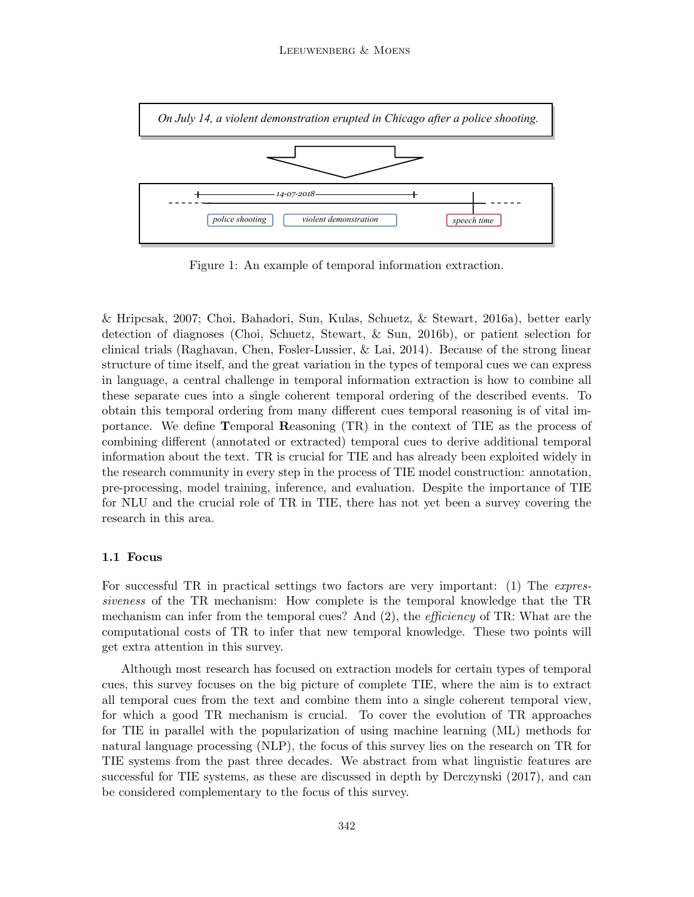

Figure 1: An example of temporal information extraction.

& Hripcsak, 2007; Choi, Bahadori, Sun, Kulas, Schuetz, & Stewart, 2016a), better early detection of diagnoses (Choi, Schuetz, Stewart, & Sun, 2016b), or patient selection for clinical trials (Raghavan, Chen, Fosler-Lussier, & Lai, 2014). Because of the strong linear structure of time itself, and the great variation in the types of temporal cues we can express in language, a central challenge in temporal information extraction is how to combine all these separate cues into a single coherent temporal ordering of the described events. To obtain this temporal ordering from many different cues temporal reasoning is of vital importance. We define Temporal Reasoning (TR) in the context of TIE as the process of combining different (annotated or extracted) temporal cues to derive additional temporal information about the text. TR is crucial for TIE and has already been exploited widely in the research community in every step in the process of TIE model construction: annotation, pre-processing, model training, inference, and evaluation. Despite the importance of TIE for NLU and the crucial role of TR in TIE, there has not yet been a survey covering the research in this area.

## 1.1 Focus

For successful TR in practical settings two factors are very important: (1) The *expres*siveness of the TR mechanism: How complete is the temporal knowledge that the TR mechanism can infer from the temporal cues? And (2), the *efficiency* of TR: What are the computational costs of TR to infer that new temporal knowledge. These two points will get extra attention in this survey.

Although most research has focused on extraction models for certain types of temporal cues, this survey focuses on the big picture of complete TIE, where the aim is to extract all temporal cues from the text and combine them into a single coherent temporal view, for which a good TR mechanism is crucial. To cover the evolution of TR approaches for TIE in parallel with the popularization of using machine learning (ML) methods for natural language processing (NLP), the focus of this survey lies on the research on TR for TIE systems from the past three decades. We abstract from what linguistic features are successful for TIE systems, as these are discussed in depth by Derczynski (2017), and can be considered complementary to the focus of this survey.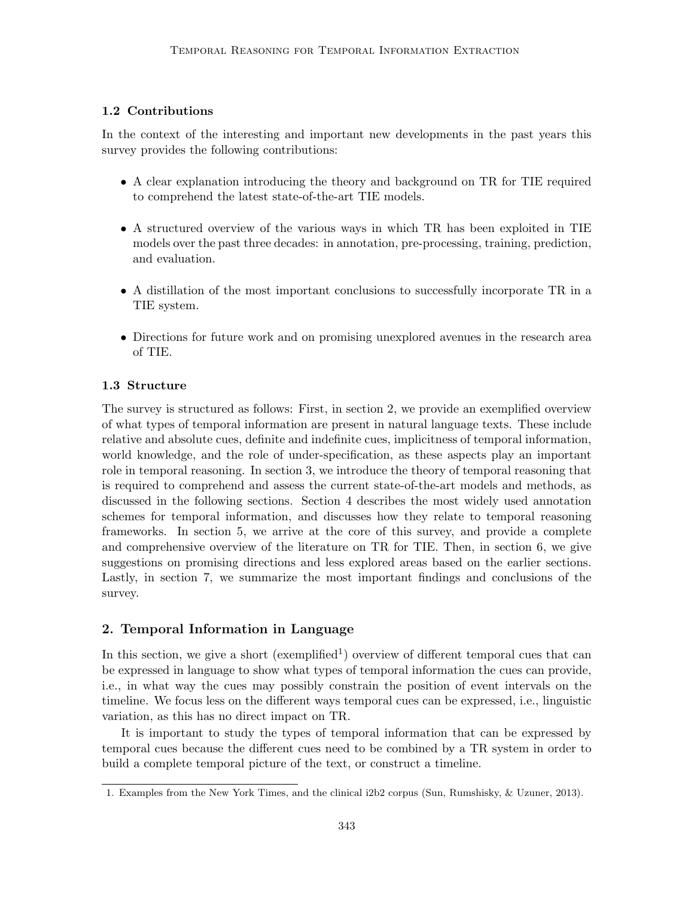## 1.2 Contributions

In the context of the interesting and important new developments in the past years this survey provides the following contributions:

- A clear explanation introducing the theory and background on TR for TIE required to comprehend the latest state-of-the-art TIE models.
- A structured overview of the various ways in which TR has been exploited in TIE models over the past three decades: in annotation, pre-processing, training, prediction, and evaluation.
- A distillation of the most important conclusions to successfully incorporate TR in a TIE system.
- Directions for future work and on promising unexplored avenues in the research area of TIE.

## 1.3 Structure

The survey is structured as follows: First, in section 2, we provide an exemplified overview of what types of temporal information are present in natural language texts. These include relative and absolute cues, definite and indefinite cues, implicitness of temporal information, world knowledge, and the role of under-specification, as these aspects play an important role in temporal reasoning. In section 3, we introduce the theory of temporal reasoning that is required to comprehend and assess the current state-of-the-art models and methods, as discussed in the following sections. Section 4 describes the most widely used annotation schemes for temporal information, and discusses how they relate to temporal reasoning frameworks. In section 5, we arrive at the core of this survey, and provide a complete and comprehensive overview of the literature on TR for TIE. Then, in section 6, we give suggestions on promising directions and less explored areas based on the earlier sections. Lastly, in section 7, we summarize the most important findings and conclusions of the survey.

## 2. Temporal Information in Language

In this section, we give a short (exemplified<sup>1</sup>) overview of different temporal cues that can be expressed in language to show what types of temporal information the cues can provide, i.e., in what way the cues may possibly constrain the position of event intervals on the timeline. We focus less on the different ways temporal cues can be expressed, i.e., linguistic variation, as this has no direct impact on TR.

It is important to study the types of temporal information that can be expressed by temporal cues because the different cues need to be combined by a TR system in order to build a complete temporal picture of the text, or construct a timeline.

<sup>1.</sup> Examples from the New York Times, and the clinical i2b2 corpus (Sun, Rumshisky, & Uzuner, 2013).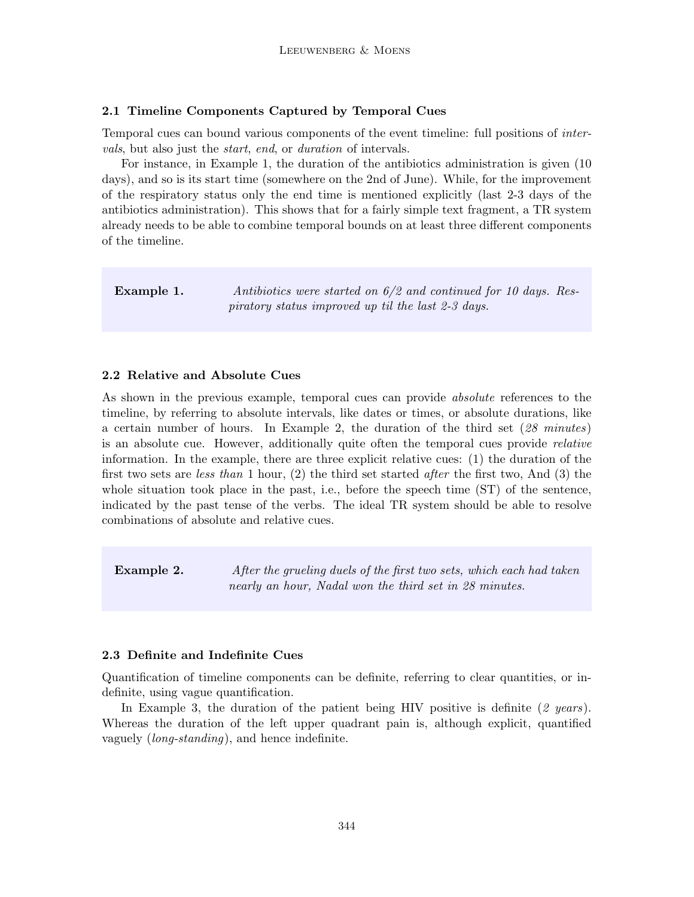## 2.1 Timeline Components Captured by Temporal Cues

Temporal cues can bound various components of the event timeline: full positions of intervals, but also just the start, end, or duration of intervals.

For instance, in Example 1, the duration of the antibiotics administration is given (10 days), and so is its start time (somewhere on the 2nd of June). While, for the improvement of the respiratory status only the end time is mentioned explicitly (last 2-3 days of the antibiotics administration). This shows that for a fairly simple text fragment, a TR system already needs to be able to combine temporal bounds on at least three different components of the timeline.

**Example 1.** Antibiotics were started on  $6/2$  and continued for 10 days. Respiratory status improved up til the last 2-3 days.

## 2.2 Relative and Absolute Cues

As shown in the previous example, temporal cues can provide absolute references to the timeline, by referring to absolute intervals, like dates or times, or absolute durations, like a certain number of hours. In Example 2, the duration of the third set (28 minutes) is an absolute cue. However, additionally quite often the temporal cues provide relative information. In the example, there are three explicit relative cues: (1) the duration of the first two sets are less than 1 hour, (2) the third set started after the first two, And (3) the whole situation took place in the past, i.e., before the speech time (ST) of the sentence, indicated by the past tense of the verbs. The ideal TR system should be able to resolve combinations of absolute and relative cues.

**Example 2.** After the grueling duels of the first two sets, which each had taken nearly an hour, Nadal won the third set in 28 minutes.

## 2.3 Definite and Indefinite Cues

Quantification of timeline components can be definite, referring to clear quantities, or indefinite, using vague quantification.

In Example 3, the duration of the patient being HIV positive is definite  $(2 \text{ years})$ . Whereas the duration of the left upper quadrant pain is, although explicit, quantified vaguely (long-standing), and hence indefinite.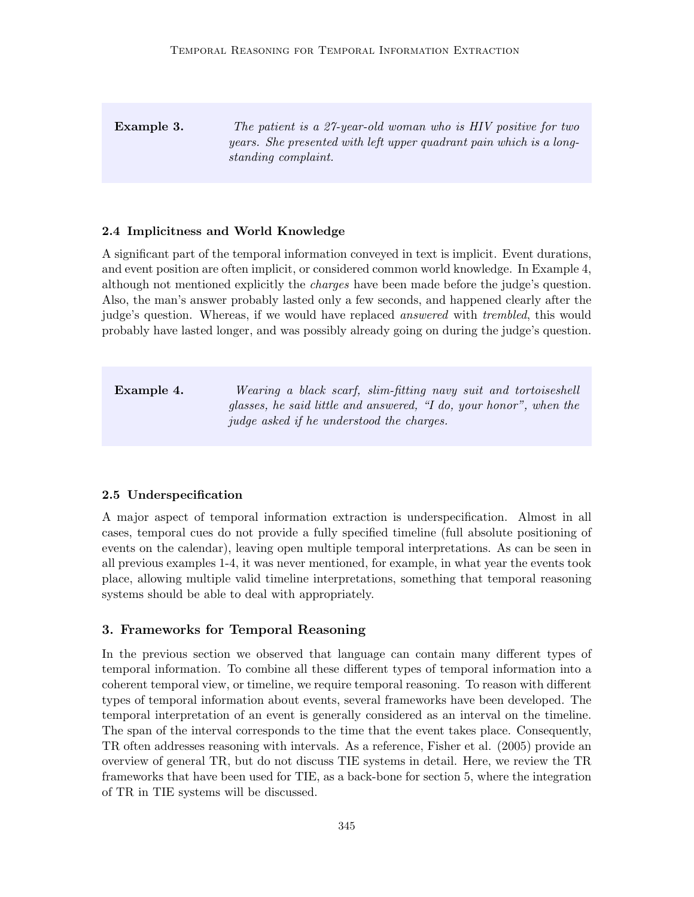**Example 3.** The patient is a 27-year-old woman who is HIV positive for two years. She presented with left upper quadrant pain which is a longstanding complaint.

## 2.4 Implicitness and World Knowledge

A significant part of the temporal information conveyed in text is implicit. Event durations, and event position are often implicit, or considered common world knowledge. In Example 4, although not mentioned explicitly the charges have been made before the judge's question. Also, the man's answer probably lasted only a few seconds, and happened clearly after the judge's question. Whereas, if we would have replaced *answered* with *trembled*, this would probably have lasted longer, and was possibly already going on during the judge's question.

**Example 4.** Wearing a black scarf, slim-fitting navy suit and tortoiseshell glasses, he said little and answered, "I do, your honor", when the judge asked if he understood the charges.

## 2.5 Underspecification

A major aspect of temporal information extraction is underspecification. Almost in all cases, temporal cues do not provide a fully specified timeline (full absolute positioning of events on the calendar), leaving open multiple temporal interpretations. As can be seen in all previous examples 1-4, it was never mentioned, for example, in what year the events took place, allowing multiple valid timeline interpretations, something that temporal reasoning systems should be able to deal with appropriately.

## 3. Frameworks for Temporal Reasoning

In the previous section we observed that language can contain many different types of temporal information. To combine all these different types of temporal information into a coherent temporal view, or timeline, we require temporal reasoning. To reason with different types of temporal information about events, several frameworks have been developed. The temporal interpretation of an event is generally considered as an interval on the timeline. The span of the interval corresponds to the time that the event takes place. Consequently, TR often addresses reasoning with intervals. As a reference, Fisher et al. (2005) provide an overview of general TR, but do not discuss TIE systems in detail. Here, we review the TR frameworks that have been used for TIE, as a back-bone for section 5, where the integration of TR in TIE systems will be discussed.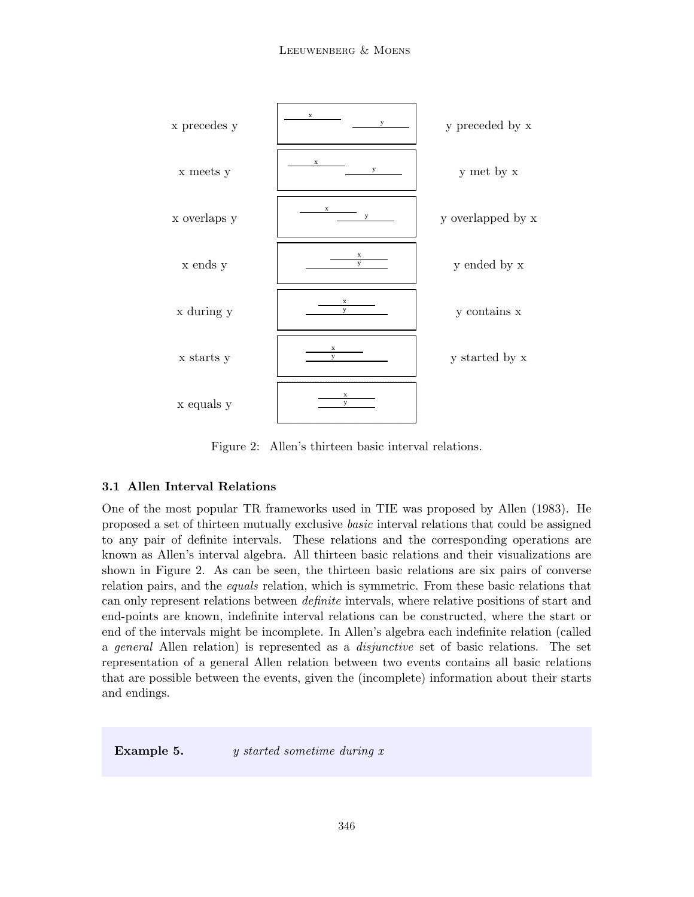

Figure 2: Allen's thirteen basic interval relations.

## 3.1 Allen Interval Relations

One of the most popular TR frameworks used in TIE was proposed by Allen (1983). He proposed a set of thirteen mutually exclusive basic interval relations that could be assigned to any pair of definite intervals. These relations and the corresponding operations are known as Allen's interval algebra. All thirteen basic relations and their visualizations are shown in Figure 2. As can be seen, the thirteen basic relations are six pairs of converse relation pairs, and the *equals* relation, which is symmetric. From these basic relations that can only represent relations between definite intervals, where relative positions of start and end-points are known, indefinite interval relations can be constructed, where the start or end of the intervals might be incomplete. In Allen's algebra each indefinite relation (called a general Allen relation) is represented as a disjunctive set of basic relations. The set representation of a general Allen relation between two events contains all basic relations that are possible between the events, given the (incomplete) information about their starts and endings.

**Example 5.** y started sometime during x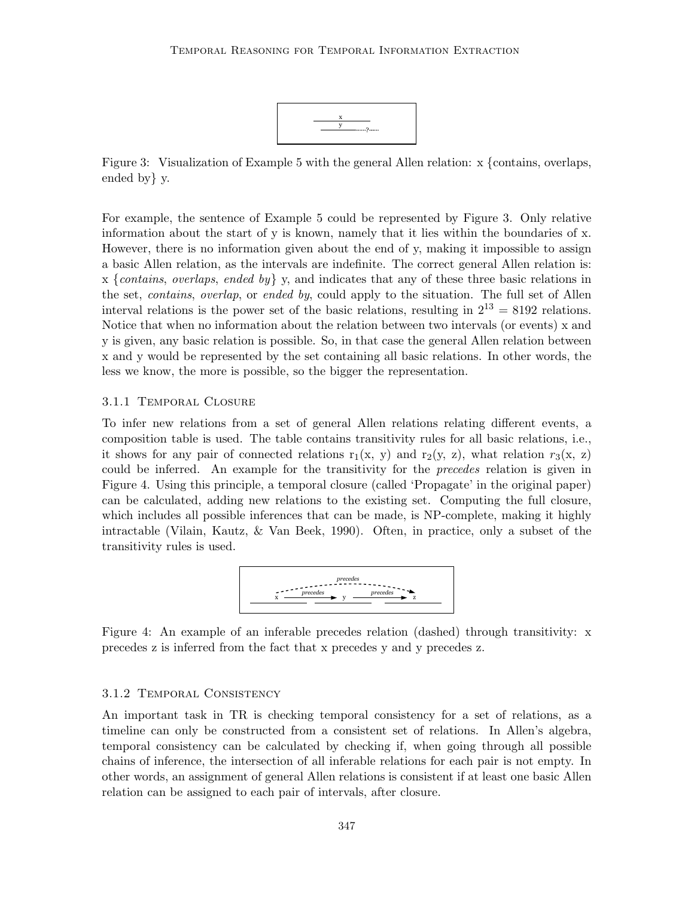

Figure 3: Visualization of Example 5 with the general Allen relation: x {contains, overlaps, ended by} y.

For example, the sentence of Example 5 could be represented by Figure 3. Only relative information about the start of y is known, namely that it lies within the boundaries of x. However, there is no information given about the end of y, making it impossible to assign a basic Allen relation, as the intervals are indefinite. The correct general Allen relation is: x {contains, overlaps, ended by} y, and indicates that any of these three basic relations in the set, *contains*, *overlap*, or *ended by*, could apply to the situation. The full set of Allen interval relations is the power set of the basic relations, resulting in  $2^{13} = 8192$  relations. Notice that when no information about the relation between two intervals (or events) x and y is given, any basic relation is possible. So, in that case the general Allen relation between x and y would be represented by the set containing all basic relations. In other words, the less we know, the more is possible, so the bigger the representation.

## 3.1.1 Temporal Closure

To infer new relations from a set of general Allen relations relating different events, a composition table is used. The table contains transitivity rules for all basic relations, i.e., it shows for any pair of connected relations  $r_1(x, y)$  and  $r_2(y, z)$ , what relation  $r_3(x, z)$ could be inferred. An example for the transitivity for the *precedes* relation is given in Figure 4. Using this principle, a temporal closure (called 'Propagate' in the original paper) can be calculated, adding new relations to the existing set. Computing the full closure, which includes all possible inferences that can be made, is NP-complete, making it highly intractable (Vilain, Kautz, & Van Beek, 1990). Often, in practice, only a subset of the transitivity rules is used.



Figure 4: An example of an inferable precedes relation (dashed) through transitivity: x precedes z is inferred from the fact that x precedes y and y precedes z.

#### 3.1.2 Temporal Consistency

An important task in TR is checking temporal consistency for a set of relations, as a timeline can only be constructed from a consistent set of relations. In Allen's algebra, temporal consistency can be calculated by checking if, when going through all possible chains of inference, the intersection of all inferable relations for each pair is not empty. In other words, an assignment of general Allen relations is consistent if at least one basic Allen relation can be assigned to each pair of intervals, after closure.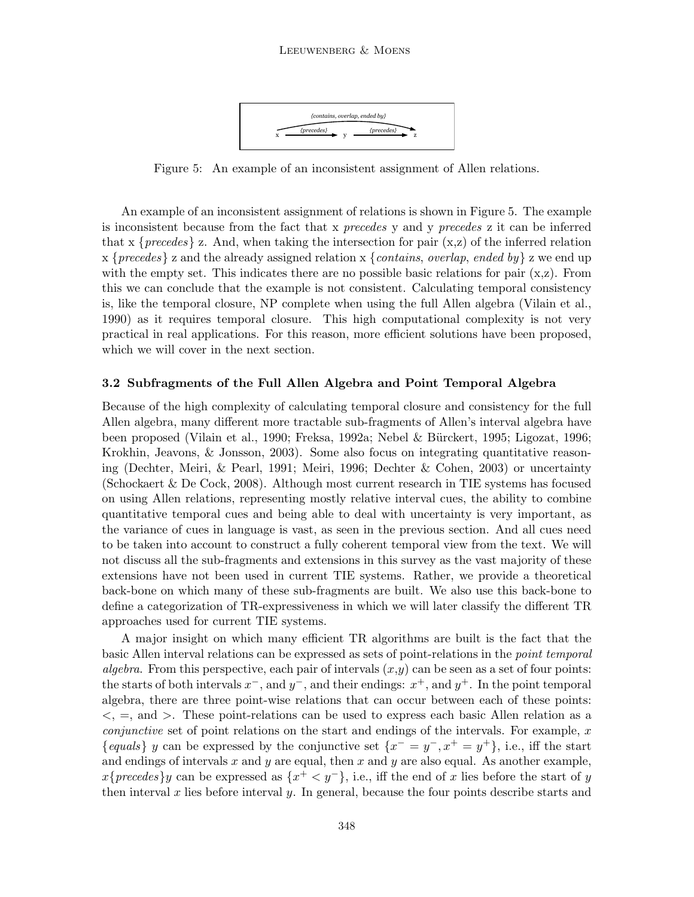

Figure 5: An example of an inconsistent assignment of Allen relations.

An example of an inconsistent assignment of relations is shown in Figure 5. The example is inconsistent because from the fact that x precedes y and y precedes z it can be inferred that x  $\{precedes\}$  z. And, when taking the intersection for pair  $(x, z)$  of the inferred relation x {precedes} z and the already assigned relation x {contains, overlap, ended by} z we end up with the empty set. This indicates there are no possible basic relations for pair  $(x, z)$ . From this we can conclude that the example is not consistent. Calculating temporal consistency is, like the temporal closure, NP complete when using the full Allen algebra (Vilain et al., 1990) as it requires temporal closure. This high computational complexity is not very practical in real applications. For this reason, more efficient solutions have been proposed, which we will cover in the next section.

## 3.2 Subfragments of the Full Allen Algebra and Point Temporal Algebra

Because of the high complexity of calculating temporal closure and consistency for the full Allen algebra, many different more tractable sub-fragments of Allen's interval algebra have been proposed (Vilain et al., 1990; Freksa, 1992a; Nebel & Bürckert, 1995; Ligozat, 1996; Krokhin, Jeavons, & Jonsson, 2003). Some also focus on integrating quantitative reasoning (Dechter, Meiri, & Pearl, 1991; Meiri, 1996; Dechter & Cohen, 2003) or uncertainty (Schockaert & De Cock, 2008). Although most current research in TIE systems has focused on using Allen relations, representing mostly relative interval cues, the ability to combine quantitative temporal cues and being able to deal with uncertainty is very important, as the variance of cues in language is vast, as seen in the previous section. And all cues need to be taken into account to construct a fully coherent temporal view from the text. We will not discuss all the sub-fragments and extensions in this survey as the vast majority of these extensions have not been used in current TIE systems. Rather, we provide a theoretical back-bone on which many of these sub-fragments are built. We also use this back-bone to define a categorization of TR-expressiveness in which we will later classify the different TR approaches used for current TIE systems.

A major insight on which many efficient TR algorithms are built is the fact that the basic Allen interval relations can be expressed as sets of point-relations in the *point temporal* algebra. From this perspective, each pair of intervals  $(x, y)$  can be seen as a set of four points: the starts of both intervals  $x^-$ , and  $y^-$ , and their endings:  $x^+$ , and  $y^+$ . In the point temporal algebra, there are three point-wise relations that can occur between each of these points:  $\lt$ ,  $=$ , and  $>$ . These point-relations can be used to express each basic Allen relation as a *conjunctive* set of point relations on the start and endings of the intervals. For example,  $x$ {equals} y can be expressed by the conjunctive set  $\{x^- = y^-, x^+ = y^+\}$ , i.e., iff the start and endings of intervals x and y are equal, then x and y are also equal. As another example,  $x\{precedes\}y$  can be expressed as  $\{x^+ < y^-\}$ , i.e., iff the end of x lies before the start of y then interval x lies before interval y. In general, because the four points describe starts and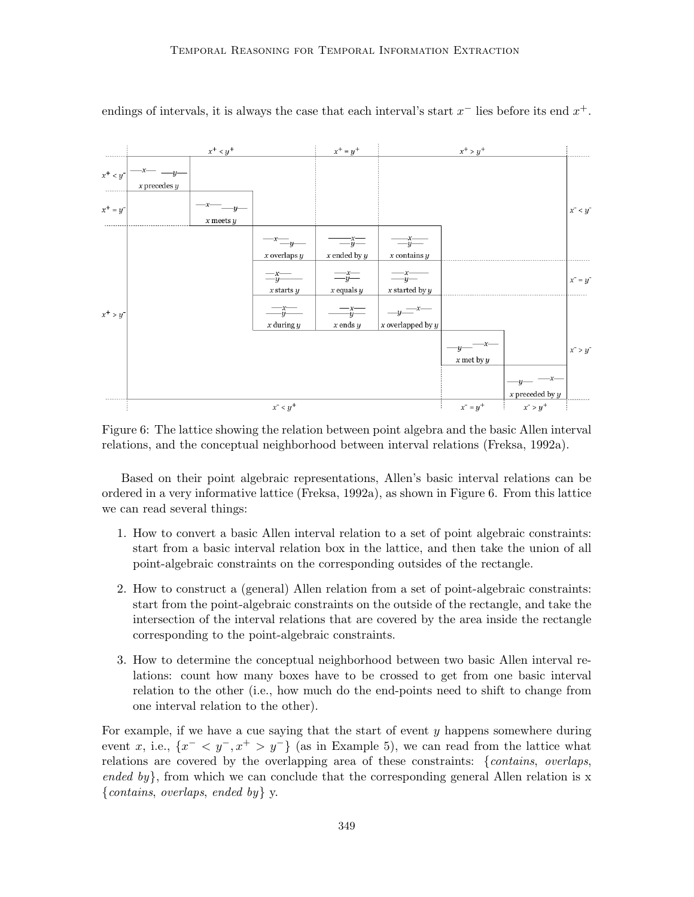

endings of intervals, it is always the case that each interval's start  $x^-$  lies before its end  $x^+$ .

Figure 6: The lattice showing the relation between point algebra and the basic Allen interval relations, and the conceptual neighborhood between interval relations (Freksa, 1992a).

Based on their point algebraic representations, Allen's basic interval relations can be ordered in a very informative lattice (Freksa, 1992a), as shown in Figure 6. From this lattice we can read several things:

- 1. How to convert a basic Allen interval relation to a set of point algebraic constraints: start from a basic interval relation box in the lattice, and then take the union of all point-algebraic constraints on the corresponding outsides of the rectangle.
- 2. How to construct a (general) Allen relation from a set of point-algebraic constraints: start from the point-algebraic constraints on the outside of the rectangle, and take the intersection of the interval relations that are covered by the area inside the rectangle corresponding to the point-algebraic constraints.
- 3. How to determine the conceptual neighborhood between two basic Allen interval relations: count how many boxes have to be crossed to get from one basic interval relation to the other (i.e., how much do the end-points need to shift to change from one interval relation to the other).

For example, if we have a cue saying that the start of event y happens somewhere during event x, i.e.,  $\{x^{-} < y^{-}, x^{+} > y^{-}\}\$  (as in Example 5), we can read from the lattice what relations are covered by the overlapping area of these constraints: {contains, overlaps, ended by, from which we can conclude that the corresponding general Allen relation is  $x$ {contains, overlaps, ended by }  $y$ .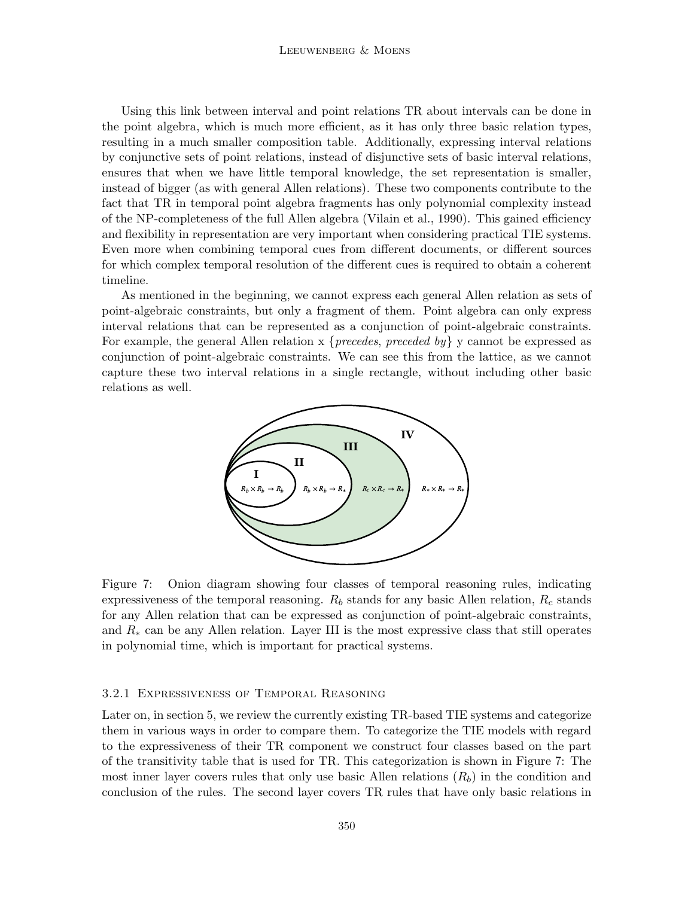Using this link between interval and point relations TR about intervals can be done in the point algebra, which is much more efficient, as it has only three basic relation types, resulting in a much smaller composition table. Additionally, expressing interval relations by conjunctive sets of point relations, instead of disjunctive sets of basic interval relations, ensures that when we have little temporal knowledge, the set representation is smaller, instead of bigger (as with general Allen relations). These two components contribute to the fact that TR in temporal point algebra fragments has only polynomial complexity instead of the NP-completeness of the full Allen algebra (Vilain et al., 1990). This gained efficiency and flexibility in representation are very important when considering practical TIE systems. Even more when combining temporal cues from different documents, or different sources for which complex temporal resolution of the different cues is required to obtain a coherent timeline.

As mentioned in the beginning, we cannot express each general Allen relation as sets of point-algebraic constraints, but only a fragment of them. Point algebra can only express interval relations that can be represented as a conjunction of point-algebraic constraints. For example, the general Allen relation  $x \{ precedes, preceded by\} y$  cannot be expressed as conjunction of point-algebraic constraints. We can see this from the lattice, as we cannot capture these two interval relations in a single rectangle, without including other basic relations as well.



Figure 7: Onion diagram showing four classes of temporal reasoning rules, indicating expressiveness of the temporal reasoning.  $R_b$  stands for any basic Allen relation,  $R_c$  stands for any Allen relation that can be expressed as conjunction of point-algebraic constraints, and  $R_*$  can be any Allen relation. Layer III is the most expressive class that still operates in polynomial time, which is important for practical systems.

#### 3.2.1 Expressiveness of Temporal Reasoning

Later on, in section 5, we review the currently existing TR-based TIE systems and categorize them in various ways in order to compare them. To categorize the TIE models with regard to the expressiveness of their TR component we construct four classes based on the part of the transitivity table that is used for TR. This categorization is shown in Figure 7: The most inner layer covers rules that only use basic Allen relations  $(R_b)$  in the condition and conclusion of the rules. The second layer covers TR rules that have only basic relations in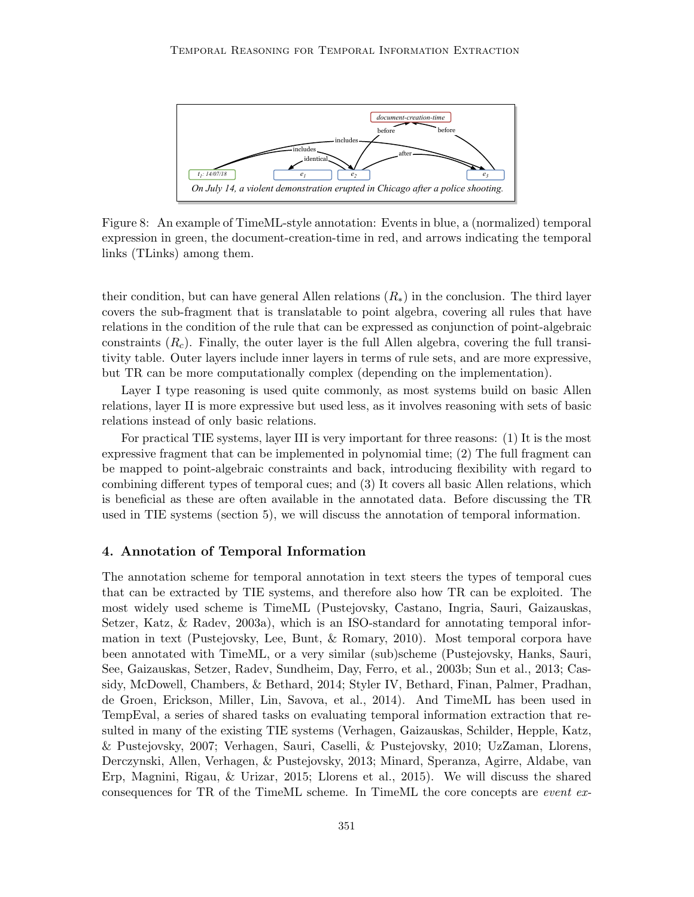

Figure 8: An example of TimeML-style annotation: Events in blue, a (normalized) temporal expression in green, the document-creation-time in red, and arrows indicating the temporal links (TLinks) among them.

their condition, but can have general Allen relations  $(R_*)$  in the conclusion. The third layer covers the sub-fragment that is translatable to point algebra, covering all rules that have relations in the condition of the rule that can be expressed as conjunction of point-algebraic constraints  $(R_c)$ . Finally, the outer layer is the full Allen algebra, covering the full transitivity table. Outer layers include inner layers in terms of rule sets, and are more expressive, but TR can be more computationally complex (depending on the implementation).

Layer I type reasoning is used quite commonly, as most systems build on basic Allen relations, layer II is more expressive but used less, as it involves reasoning with sets of basic relations instead of only basic relations.

For practical TIE systems, layer III is very important for three reasons: (1) It is the most expressive fragment that can be implemented in polynomial time; (2) The full fragment can be mapped to point-algebraic constraints and back, introducing flexibility with regard to combining different types of temporal cues; and (3) It covers all basic Allen relations, which is beneficial as these are often available in the annotated data. Before discussing the TR used in TIE systems (section 5), we will discuss the annotation of temporal information.

## 4. Annotation of Temporal Information

The annotation scheme for temporal annotation in text steers the types of temporal cues that can be extracted by TIE systems, and therefore also how TR can be exploited. The most widely used scheme is TimeML (Pustejovsky, Castano, Ingria, Sauri, Gaizauskas, Setzer, Katz, & Radev, 2003a), which is an ISO-standard for annotating temporal information in text (Pustejovsky, Lee, Bunt, & Romary, 2010). Most temporal corpora have been annotated with TimeML, or a very similar (sub)scheme (Pustejovsky, Hanks, Sauri, See, Gaizauskas, Setzer, Radev, Sundheim, Day, Ferro, et al., 2003b; Sun et al., 2013; Cassidy, McDowell, Chambers, & Bethard, 2014; Styler IV, Bethard, Finan, Palmer, Pradhan, de Groen, Erickson, Miller, Lin, Savova, et al., 2014). And TimeML has been used in TempEval, a series of shared tasks on evaluating temporal information extraction that resulted in many of the existing TIE systems (Verhagen, Gaizauskas, Schilder, Hepple, Katz, & Pustejovsky, 2007; Verhagen, Sauri, Caselli, & Pustejovsky, 2010; UzZaman, Llorens, Derczynski, Allen, Verhagen, & Pustejovsky, 2013; Minard, Speranza, Agirre, Aldabe, van Erp, Magnini, Rigau, & Urizar, 2015; Llorens et al., 2015). We will discuss the shared consequences for TR of the TimeML scheme. In TimeML the core concepts are event ex-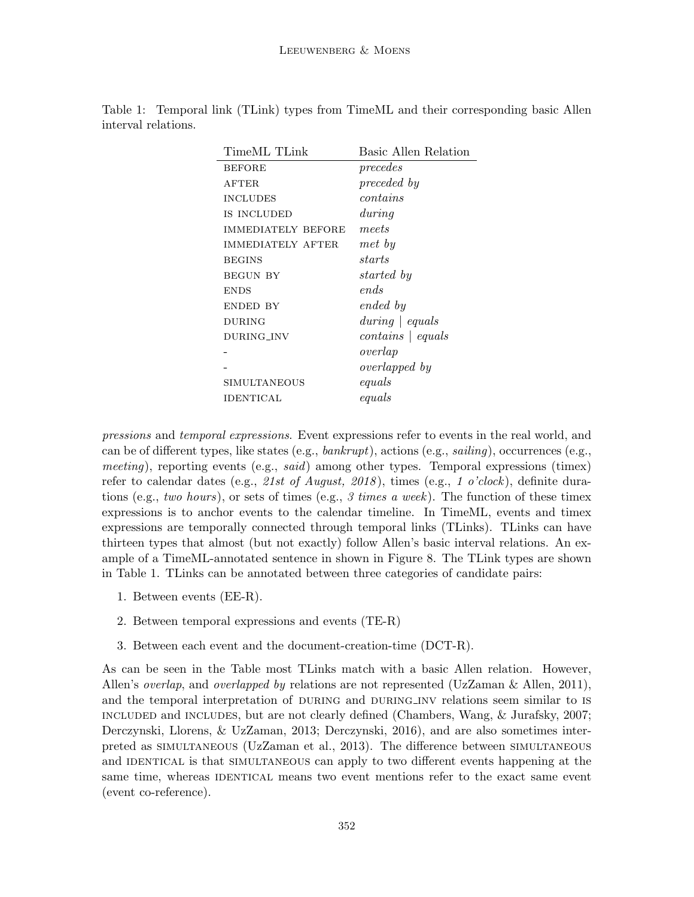|                     |  |  |  |  | Table 1: Temporal link (TLink) types from TimeML and their corresponding basic Allen |  |
|---------------------|--|--|--|--|--------------------------------------------------------------------------------------|--|
| interval relations. |  |  |  |  |                                                                                      |  |

| Basic Allen Relation    |  |  |  |  |  |
|-------------------------|--|--|--|--|--|
| precedes                |  |  |  |  |  |
| preceded by             |  |  |  |  |  |
| contains                |  |  |  |  |  |
| during                  |  |  |  |  |  |
| meets                   |  |  |  |  |  |
| met by                  |  |  |  |  |  |
| starts                  |  |  |  |  |  |
| started by              |  |  |  |  |  |
| ends                    |  |  |  |  |  |
| ended by                |  |  |  |  |  |
| $during \,   \, equals$ |  |  |  |  |  |
| $contains \mid equals$  |  |  |  |  |  |
| overlap                 |  |  |  |  |  |
| <i>overlapped</i> by    |  |  |  |  |  |
| equals                  |  |  |  |  |  |
| equals                  |  |  |  |  |  |
|                         |  |  |  |  |  |

pressions and temporal expressions. Event expressions refer to events in the real world, and can be of different types, like states (e.g.,  $bankrupt$ ), actions (e.g.,  $sailing$ ), occurrences (e.g., meeting), reporting events (e.g., said) among other types. Temporal expressions (timex) refer to calendar dates (e.g., 21st of August, 2018), times (e.g., 1 o'clock), definite durations (e.g., two hours), or sets of times (e.g., 3 times a week). The function of these timex expressions is to anchor events to the calendar timeline. In TimeML, events and timex expressions are temporally connected through temporal links (TLinks). TLinks can have thirteen types that almost (but not exactly) follow Allen's basic interval relations. An example of a TimeML-annotated sentence in shown in Figure 8. The TLink types are shown in Table 1. TLinks can be annotated between three categories of candidate pairs:

- 1. Between events (EE-R).
- 2. Between temporal expressions and events (TE-R)
- 3. Between each event and the document-creation-time (DCT-R).

As can be seen in the Table most TLinks match with a basic Allen relation. However, Allen's overlap, and overlapped by relations are not represented (UzZaman & Allen, 2011), and the temporal interpretation of DURING and DURING INV relations seem similar to IS included and includes, but are not clearly defined (Chambers, Wang, & Jurafsky, 2007; Derczynski, Llorens, & UzZaman, 2013; Derczynski, 2016), and are also sometimes interpreted as simultaneous (UzZaman et al., 2013). The difference between simultaneous and IDENTICAL is that SIMULTANEOUS can apply to two different events happening at the same time, whereas IDENTICAL means two event mentions refer to the exact same event (event co-reference).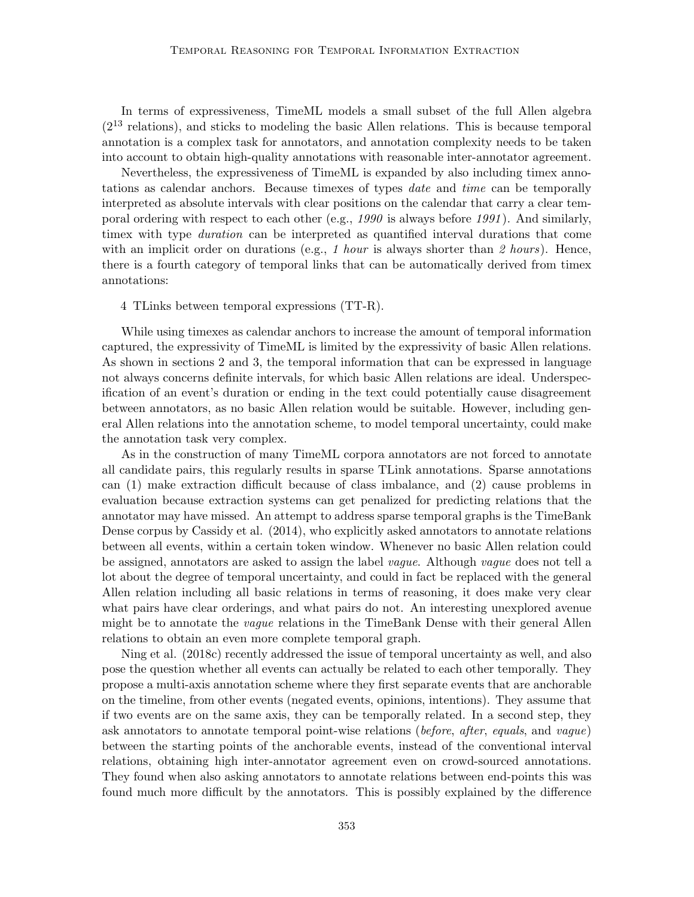In terms of expressiveness, TimeML models a small subset of the full Allen algebra  $(2^{13}$  relations), and sticks to modeling the basic Allen relations. This is because temporal annotation is a complex task for annotators, and annotation complexity needs to be taken into account to obtain high-quality annotations with reasonable inter-annotator agreement.

Nevertheless, the expressiveness of TimeML is expanded by also including timex annotations as calendar anchors. Because timexes of types date and time can be temporally interpreted as absolute intervals with clear positions on the calendar that carry a clear temporal ordering with respect to each other (e.g.,  $1990$  is always before  $1991$ ). And similarly, timex with type duration can be interpreted as quantified interval durations that come with an implicit order on durations (e.g., 1 hour is always shorter than 2 hours). Hence, there is a fourth category of temporal links that can be automatically derived from timex annotations:

#### 4 TLinks between temporal expressions (TT-R).

While using timexes as calendar anchors to increase the amount of temporal information captured, the expressivity of TimeML is limited by the expressivity of basic Allen relations. As shown in sections 2 and 3, the temporal information that can be expressed in language not always concerns definite intervals, for which basic Allen relations are ideal. Underspecification of an event's duration or ending in the text could potentially cause disagreement between annotators, as no basic Allen relation would be suitable. However, including general Allen relations into the annotation scheme, to model temporal uncertainty, could make the annotation task very complex.

As in the construction of many TimeML corpora annotators are not forced to annotate all candidate pairs, this regularly results in sparse TLink annotations. Sparse annotations can (1) make extraction difficult because of class imbalance, and (2) cause problems in evaluation because extraction systems can get penalized for predicting relations that the annotator may have missed. An attempt to address sparse temporal graphs is the TimeBank Dense corpus by Cassidy et al. (2014), who explicitly asked annotators to annotate relations between all events, within a certain token window. Whenever no basic Allen relation could be assigned, annotators are asked to assign the label vague. Although vague does not tell a lot about the degree of temporal uncertainty, and could in fact be replaced with the general Allen relation including all basic relations in terms of reasoning, it does make very clear what pairs have clear orderings, and what pairs do not. An interesting unexplored avenue might be to annotate the vague relations in the TimeBank Dense with their general Allen relations to obtain an even more complete temporal graph.

Ning et al. (2018c) recently addressed the issue of temporal uncertainty as well, and also pose the question whether all events can actually be related to each other temporally. They propose a multi-axis annotation scheme where they first separate events that are anchorable on the timeline, from other events (negated events, opinions, intentions). They assume that if two events are on the same axis, they can be temporally related. In a second step, they ask annotators to annotate temporal point-wise relations (before, after, equals, and vague) between the starting points of the anchorable events, instead of the conventional interval relations, obtaining high inter-annotator agreement even on crowd-sourced annotations. They found when also asking annotators to annotate relations between end-points this was found much more difficult by the annotators. This is possibly explained by the difference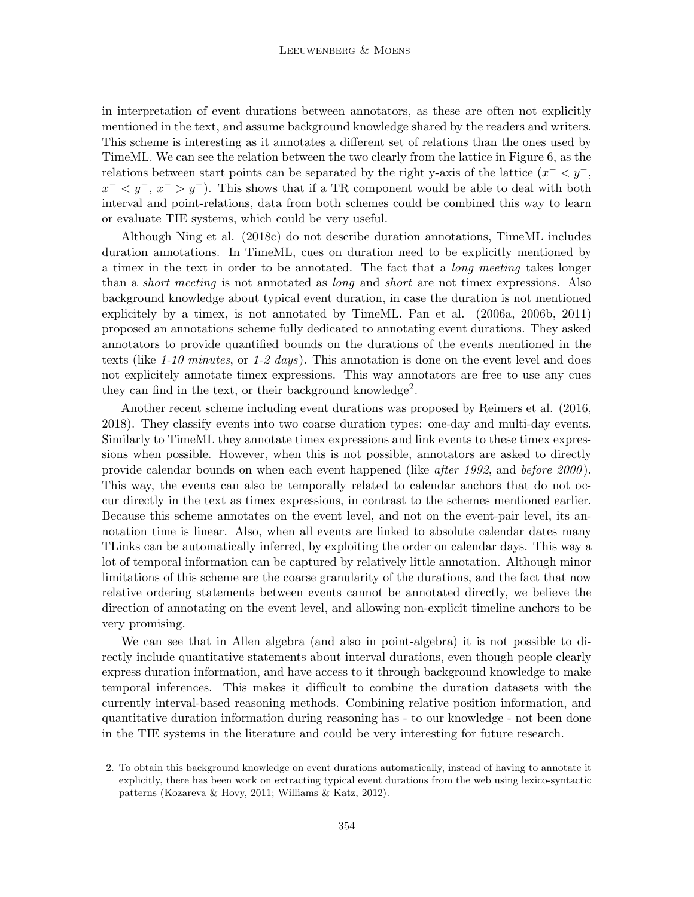in interpretation of event durations between annotators, as these are often not explicitly mentioned in the text, and assume background knowledge shared by the readers and writers. This scheme is interesting as it annotates a different set of relations than the ones used by TimeML. We can see the relation between the two clearly from the lattice in Figure 6, as the relations between start points can be separated by the right y-axis of the lattice  $(x^{-} < y^{-})$ ,  $x^{-}$   $\lt y^{-}$ ,  $x^{-}$   $\gt y^{-}$ ). This shows that if a TR component would be able to deal with both interval and point-relations, data from both schemes could be combined this way to learn or evaluate TIE systems, which could be very useful.

Although Ning et al. (2018c) do not describe duration annotations, TimeML includes duration annotations. In TimeML, cues on duration need to be explicitly mentioned by a timex in the text in order to be annotated. The fact that a long meeting takes longer than a *short meeting* is not annotated as *long* and *short* are not timex expressions. Also background knowledge about typical event duration, in case the duration is not mentioned explicitely by a timex, is not annotated by TimeML. Pan et al. (2006a, 2006b, 2011) proposed an annotations scheme fully dedicated to annotating event durations. They asked annotators to provide quantified bounds on the durations of the events mentioned in the texts (like  $1-10$  minutes, or  $1-2$  days). This annotation is done on the event level and does not explicitely annotate timex expressions. This way annotators are free to use any cues they can find in the text, or their background knowledge<sup>2</sup>.

Another recent scheme including event durations was proposed by Reimers et al. (2016, 2018). They classify events into two coarse duration types: one-day and multi-day events. Similarly to TimeML they annotate timex expressions and link events to these timex expressions when possible. However, when this is not possible, annotators are asked to directly provide calendar bounds on when each event happened (like *after 1992*, and *before 2000*). This way, the events can also be temporally related to calendar anchors that do not occur directly in the text as timex expressions, in contrast to the schemes mentioned earlier. Because this scheme annotates on the event level, and not on the event-pair level, its annotation time is linear. Also, when all events are linked to absolute calendar dates many TLinks can be automatically inferred, by exploiting the order on calendar days. This way a lot of temporal information can be captured by relatively little annotation. Although minor limitations of this scheme are the coarse granularity of the durations, and the fact that now relative ordering statements between events cannot be annotated directly, we believe the direction of annotating on the event level, and allowing non-explicit timeline anchors to be very promising.

We can see that in Allen algebra (and also in point-algebra) it is not possible to directly include quantitative statements about interval durations, even though people clearly express duration information, and have access to it through background knowledge to make temporal inferences. This makes it difficult to combine the duration datasets with the currently interval-based reasoning methods. Combining relative position information, and quantitative duration information during reasoning has - to our knowledge - not been done in the TIE systems in the literature and could be very interesting for future research.

<sup>2.</sup> To obtain this background knowledge on event durations automatically, instead of having to annotate it explicitly, there has been work on extracting typical event durations from the web using lexico-syntactic patterns (Kozareva & Hovy, 2011; Williams & Katz, 2012).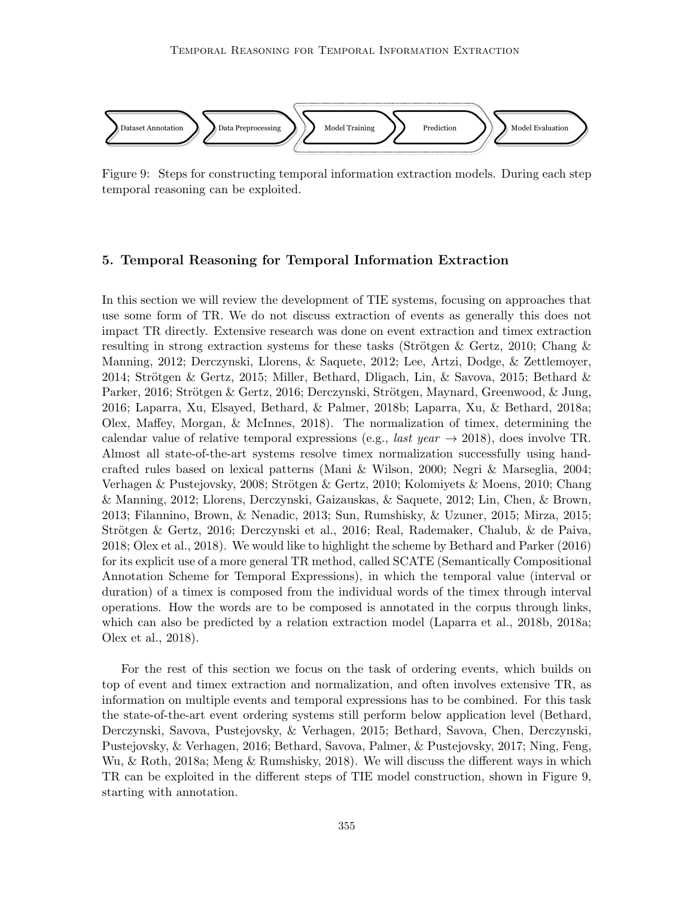

Figure 9: Steps for constructing temporal information extraction models. During each step temporal reasoning can be exploited.

## 5. Temporal Reasoning for Temporal Information Extraction

In this section we will review the development of TIE systems, focusing on approaches that use some form of TR. We do not discuss extraction of events as generally this does not impact TR directly. Extensive research was done on event extraction and timex extraction resulting in strong extraction systems for these tasks (Strötgen & Gertz, 2010; Chang & Manning, 2012; Derczynski, Llorens, & Saquete, 2012; Lee, Artzi, Dodge, & Zettlemoyer, 2014; Strötgen & Gertz, 2015; Miller, Bethard, Dligach, Lin, & Savova, 2015; Bethard & Parker, 2016; Strötgen & Gertz, 2016; Derczynski, Strötgen, Maynard, Greenwood, & Jung, 2016; Laparra, Xu, Elsayed, Bethard, & Palmer, 2018b; Laparra, Xu, & Bethard, 2018a; Olex, Maffey, Morgan, & McInnes, 2018). The normalization of timex, determining the calendar value of relative temporal expressions (e.g., *last year*  $\rightarrow$  2018), does involve TR. Almost all state-of-the-art systems resolve timex normalization successfully using handcrafted rules based on lexical patterns (Mani & Wilson, 2000; Negri & Marseglia, 2004; Verhagen & Pustejovsky, 2008; Strötgen & Gertz, 2010; Kolomiyets & Moens, 2010; Chang & Manning, 2012; Llorens, Derczynski, Gaizauskas, & Saquete, 2012; Lin, Chen, & Brown, 2013; Filannino, Brown, & Nenadic, 2013; Sun, Rumshisky, & Uzuner, 2015; Mirza, 2015; Strötgen & Gertz, 2016; Derczynski et al., 2016; Real, Rademaker, Chalub, & de Paiva, 2018; Olex et al., 2018). We would like to highlight the scheme by Bethard and Parker (2016) for its explicit use of a more general TR method, called SCATE (Semantically Compositional Annotation Scheme for Temporal Expressions), in which the temporal value (interval or duration) of a timex is composed from the individual words of the timex through interval operations. How the words are to be composed is annotated in the corpus through links, which can also be predicted by a relation extraction model (Laparra et al., 2018b, 2018a; Olex et al., 2018).

For the rest of this section we focus on the task of ordering events, which builds on top of event and timex extraction and normalization, and often involves extensive TR, as information on multiple events and temporal expressions has to be combined. For this task the state-of-the-art event ordering systems still perform below application level (Bethard, Derczynski, Savova, Pustejovsky, & Verhagen, 2015; Bethard, Savova, Chen, Derczynski, Pustejovsky, & Verhagen, 2016; Bethard, Savova, Palmer, & Pustejovsky, 2017; Ning, Feng, Wu, & Roth, 2018a; Meng & Rumshisky, 2018). We will discuss the different ways in which TR can be exploited in the different steps of TIE model construction, shown in Figure 9, starting with annotation.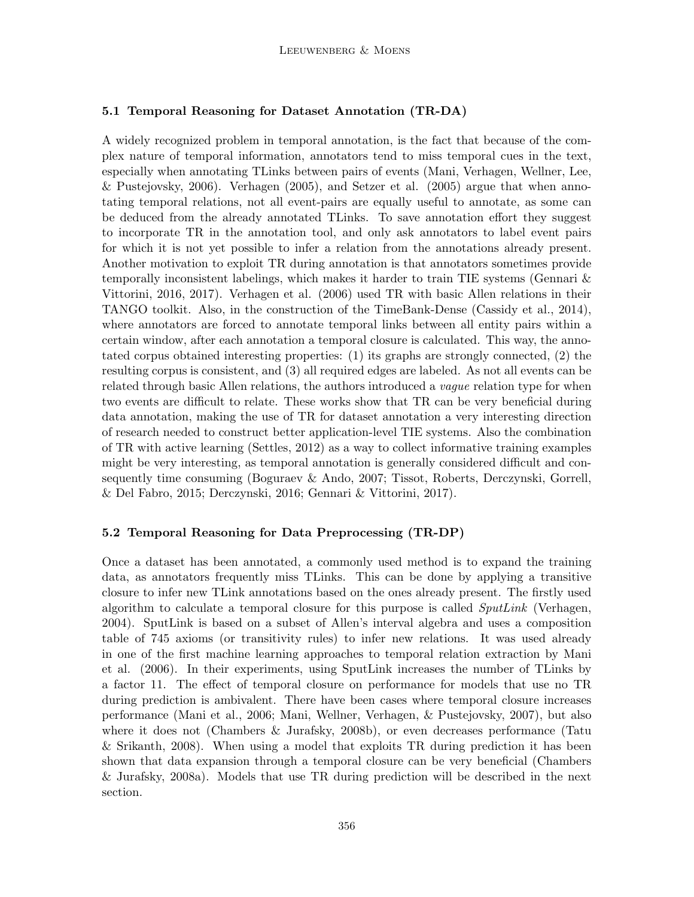## 5.1 Temporal Reasoning for Dataset Annotation (TR-DA)

A widely recognized problem in temporal annotation, is the fact that because of the complex nature of temporal information, annotators tend to miss temporal cues in the text, especially when annotating TLinks between pairs of events (Mani, Verhagen, Wellner, Lee, & Pustejovsky, 2006). Verhagen (2005), and Setzer et al. (2005) argue that when annotating temporal relations, not all event-pairs are equally useful to annotate, as some can be deduced from the already annotated TLinks. To save annotation effort they suggest to incorporate TR in the annotation tool, and only ask annotators to label event pairs for which it is not yet possible to infer a relation from the annotations already present. Another motivation to exploit TR during annotation is that annotators sometimes provide temporally inconsistent labelings, which makes it harder to train TIE systems (Gennari & Vittorini, 2016, 2017). Verhagen et al. (2006) used TR with basic Allen relations in their TANGO toolkit. Also, in the construction of the TimeBank-Dense (Cassidy et al., 2014), where annotators are forced to annotate temporal links between all entity pairs within a certain window, after each annotation a temporal closure is calculated. This way, the annotated corpus obtained interesting properties: (1) its graphs are strongly connected, (2) the resulting corpus is consistent, and (3) all required edges are labeled. As not all events can be related through basic Allen relations, the authors introduced a *vague* relation type for when two events are difficult to relate. These works show that TR can be very beneficial during data annotation, making the use of TR for dataset annotation a very interesting direction of research needed to construct better application-level TIE systems. Also the combination of TR with active learning (Settles, 2012) as a way to collect informative training examples might be very interesting, as temporal annotation is generally considered difficult and consequently time consuming (Boguraev & Ando, 2007; Tissot, Roberts, Derczynski, Gorrell, & Del Fabro, 2015; Derczynski, 2016; Gennari & Vittorini, 2017).

## 5.2 Temporal Reasoning for Data Preprocessing (TR-DP)

Once a dataset has been annotated, a commonly used method is to expand the training data, as annotators frequently miss TLinks. This can be done by applying a transitive closure to infer new TLink annotations based on the ones already present. The firstly used algorithm to calculate a temporal closure for this purpose is called  $SputLink$  (Verhagen, 2004). SputLink is based on a subset of Allen's interval algebra and uses a composition table of 745 axioms (or transitivity rules) to infer new relations. It was used already in one of the first machine learning approaches to temporal relation extraction by Mani et al. (2006). In their experiments, using SputLink increases the number of TLinks by a factor 11. The effect of temporal closure on performance for models that use no TR during prediction is ambivalent. There have been cases where temporal closure increases performance (Mani et al., 2006; Mani, Wellner, Verhagen, & Pustejovsky, 2007), but also where it does not (Chambers & Jurafsky, 2008b), or even decreases performance (Tatu & Srikanth, 2008). When using a model that exploits TR during prediction it has been shown that data expansion through a temporal closure can be very beneficial (Chambers & Jurafsky, 2008a). Models that use TR during prediction will be described in the next section.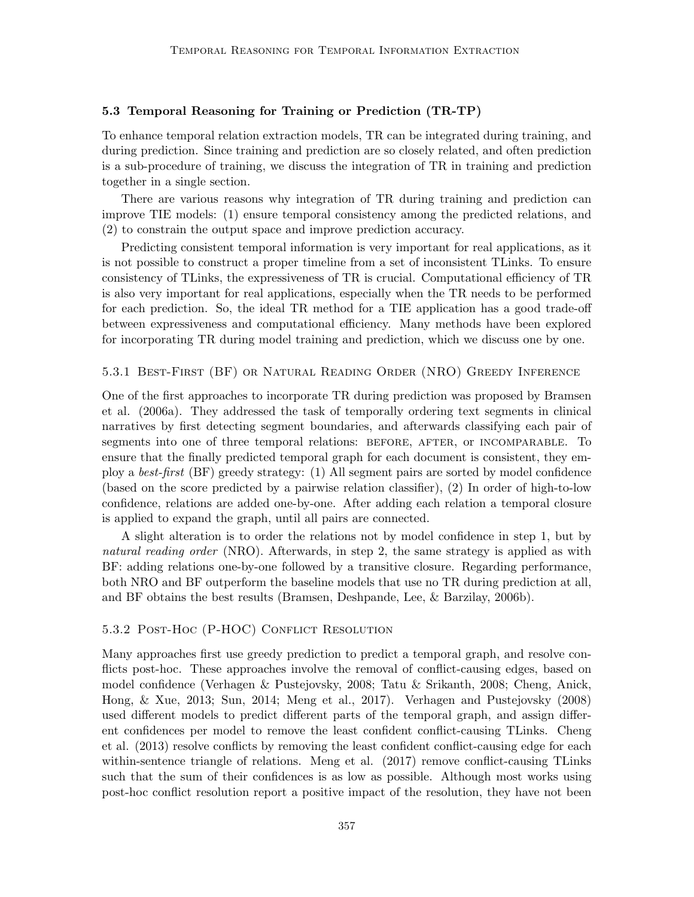## 5.3 Temporal Reasoning for Training or Prediction (TR-TP)

To enhance temporal relation extraction models, TR can be integrated during training, and during prediction. Since training and prediction are so closely related, and often prediction is a sub-procedure of training, we discuss the integration of TR in training and prediction together in a single section.

There are various reasons why integration of TR during training and prediction can improve TIE models: (1) ensure temporal consistency among the predicted relations, and (2) to constrain the output space and improve prediction accuracy.

Predicting consistent temporal information is very important for real applications, as it is not possible to construct a proper timeline from a set of inconsistent TLinks. To ensure consistency of TLinks, the expressiveness of TR is crucial. Computational efficiency of TR is also very important for real applications, especially when the TR needs to be performed for each prediction. So, the ideal TR method for a TIE application has a good trade-off between expressiveness and computational efficiency. Many methods have been explored for incorporating TR during model training and prediction, which we discuss one by one.

#### 5.3.1 Best-First (BF) or Natural Reading Order (NRO) Greedy Inference

One of the first approaches to incorporate TR during prediction was proposed by Bramsen et al. (2006a). They addressed the task of temporally ordering text segments in clinical narratives by first detecting segment boundaries, and afterwards classifying each pair of segments into one of three temporal relations: BEFORE, AFTER, or INCOMPARABLE. To ensure that the finally predicted temporal graph for each document is consistent, they employ a best-first (BF) greedy strategy: (1) All segment pairs are sorted by model confidence (based on the score predicted by a pairwise relation classifier), (2) In order of high-to-low confidence, relations are added one-by-one. After adding each relation a temporal closure is applied to expand the graph, until all pairs are connected.

A slight alteration is to order the relations not by model confidence in step 1, but by natural reading order (NRO). Afterwards, in step 2, the same strategy is applied as with BF: adding relations one-by-one followed by a transitive closure. Regarding performance, both NRO and BF outperform the baseline models that use no TR during prediction at all, and BF obtains the best results (Bramsen, Deshpande, Lee, & Barzilay, 2006b).

#### 5.3.2 Post-Hoc (P-HOC) Conflict Resolution

Many approaches first use greedy prediction to predict a temporal graph, and resolve conflicts post-hoc. These approaches involve the removal of conflict-causing edges, based on model confidence (Verhagen & Pustejovsky, 2008; Tatu & Srikanth, 2008; Cheng, Anick, Hong, & Xue, 2013; Sun, 2014; Meng et al., 2017). Verhagen and Pustejovsky (2008) used different models to predict different parts of the temporal graph, and assign different confidences per model to remove the least confident conflict-causing TLinks. Cheng et al. (2013) resolve conflicts by removing the least confident conflict-causing edge for each within-sentence triangle of relations. Meng et al. (2017) remove conflict-causing TLinks such that the sum of their confidences is as low as possible. Although most works using post-hoc conflict resolution report a positive impact of the resolution, they have not been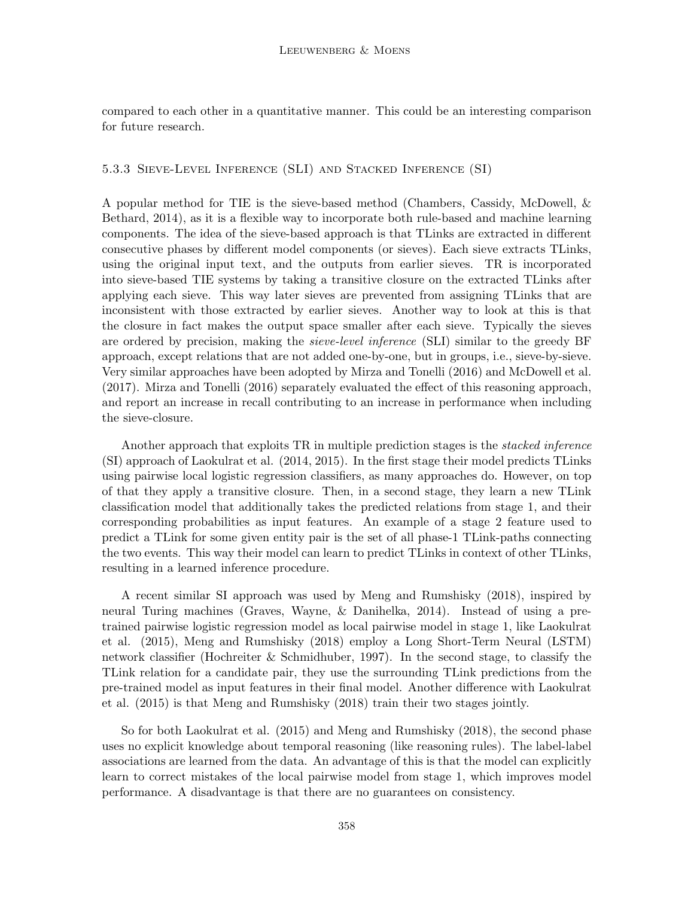compared to each other in a quantitative manner. This could be an interesting comparison for future research.

## 5.3.3 Sieve-Level Inference (SLI) and Stacked Inference (SI)

A popular method for TIE is the sieve-based method (Chambers, Cassidy, McDowell, & Bethard, 2014), as it is a flexible way to incorporate both rule-based and machine learning components. The idea of the sieve-based approach is that TLinks are extracted in different consecutive phases by different model components (or sieves). Each sieve extracts TLinks, using the original input text, and the outputs from earlier sieves. TR is incorporated into sieve-based TIE systems by taking a transitive closure on the extracted TLinks after applying each sieve. This way later sieves are prevented from assigning TLinks that are inconsistent with those extracted by earlier sieves. Another way to look at this is that the closure in fact makes the output space smaller after each sieve. Typically the sieves are ordered by precision, making the sieve-level inference (SLI) similar to the greedy BF approach, except relations that are not added one-by-one, but in groups, i.e., sieve-by-sieve. Very similar approaches have been adopted by Mirza and Tonelli (2016) and McDowell et al. (2017). Mirza and Tonelli (2016) separately evaluated the effect of this reasoning approach, and report an increase in recall contributing to an increase in performance when including the sieve-closure.

Another approach that exploits TR in multiple prediction stages is the stacked inference (SI) approach of Laokulrat et al. (2014, 2015). In the first stage their model predicts TLinks using pairwise local logistic regression classifiers, as many approaches do. However, on top of that they apply a transitive closure. Then, in a second stage, they learn a new TLink classification model that additionally takes the predicted relations from stage 1, and their corresponding probabilities as input features. An example of a stage 2 feature used to predict a TLink for some given entity pair is the set of all phase-1 TLink-paths connecting the two events. This way their model can learn to predict TLinks in context of other TLinks, resulting in a learned inference procedure.

A recent similar SI approach was used by Meng and Rumshisky (2018), inspired by neural Turing machines (Graves, Wayne, & Danihelka, 2014). Instead of using a pretrained pairwise logistic regression model as local pairwise model in stage 1, like Laokulrat et al. (2015), Meng and Rumshisky (2018) employ a Long Short-Term Neural (LSTM) network classifier (Hochreiter & Schmidhuber, 1997). In the second stage, to classify the TLink relation for a candidate pair, they use the surrounding TLink predictions from the pre-trained model as input features in their final model. Another difference with Laokulrat et al. (2015) is that Meng and Rumshisky (2018) train their two stages jointly.

So for both Laokulrat et al. (2015) and Meng and Rumshisky (2018), the second phase uses no explicit knowledge about temporal reasoning (like reasoning rules). The label-label associations are learned from the data. An advantage of this is that the model can explicitly learn to correct mistakes of the local pairwise model from stage 1, which improves model performance. A disadvantage is that there are no guarantees on consistency.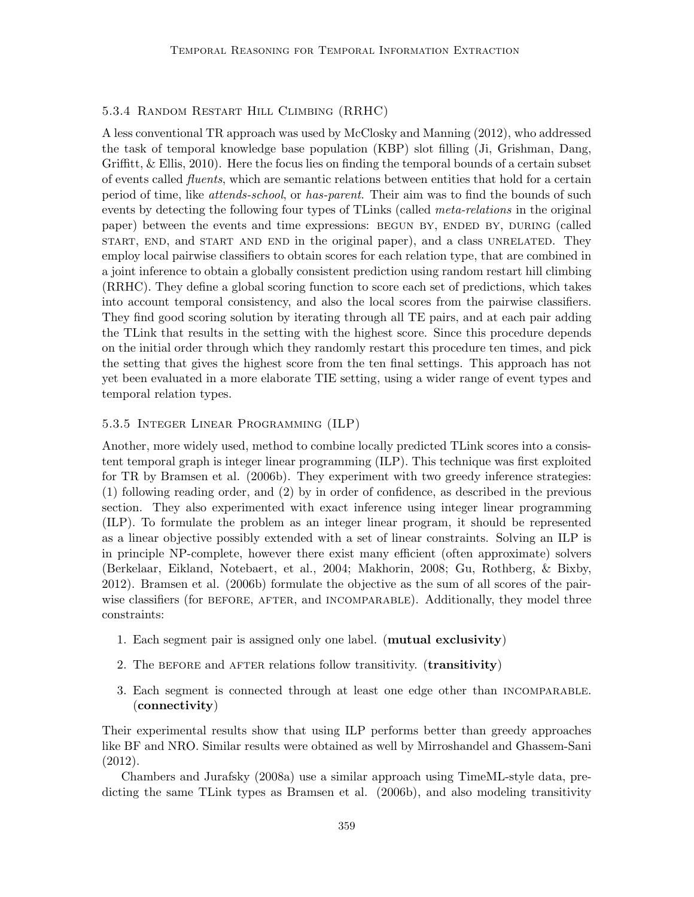## 5.3.4 Random Restart Hill Climbing (RRHC)

A less conventional TR approach was used by McClosky and Manning (2012), who addressed the task of temporal knowledge base population (KBP) slot filling (Ji, Grishman, Dang, Griffitt, & Ellis, 2010). Here the focus lies on finding the temporal bounds of a certain subset of events called fluents, which are semantic relations between entities that hold for a certain period of time, like attends-school, or has-parent. Their aim was to find the bounds of such events by detecting the following four types of TLinks (called *meta-relations* in the original paper) between the events and time expressions: BEGUN BY, ENDED BY, DURING (called start, end, and start and end in the original paper), and a class unrelated. They employ local pairwise classifiers to obtain scores for each relation type, that are combined in a joint inference to obtain a globally consistent prediction using random restart hill climbing (RRHC). They define a global scoring function to score each set of predictions, which takes into account temporal consistency, and also the local scores from the pairwise classifiers. They find good scoring solution by iterating through all TE pairs, and at each pair adding the TLink that results in the setting with the highest score. Since this procedure depends on the initial order through which they randomly restart this procedure ten times, and pick the setting that gives the highest score from the ten final settings. This approach has not yet been evaluated in a more elaborate TIE setting, using a wider range of event types and temporal relation types.

## 5.3.5 Integer Linear Programming (ILP)

Another, more widely used, method to combine locally predicted TLink scores into a consistent temporal graph is integer linear programming (ILP). This technique was first exploited for TR by Bramsen et al. (2006b). They experiment with two greedy inference strategies: (1) following reading order, and (2) by in order of confidence, as described in the previous section. They also experimented with exact inference using integer linear programming (ILP). To formulate the problem as an integer linear program, it should be represented as a linear objective possibly extended with a set of linear constraints. Solving an ILP is in principle NP-complete, however there exist many efficient (often approximate) solvers (Berkelaar, Eikland, Notebaert, et al., 2004; Makhorin, 2008; Gu, Rothberg, & Bixby, 2012). Bramsen et al. (2006b) formulate the objective as the sum of all scores of the pairwise classifiers (for BEFORE, AFTER, and INCOMPARABLE). Additionally, they model three constraints:

- 1. Each segment pair is assigned only one label. (mutual exclusivity)
- 2. The BEFORE and AFTER relations follow transitivity. (**transitivity**)
- 3. Each segment is connected through at least one edge other than incomparable. (connectivity)

Their experimental results show that using ILP performs better than greedy approaches like BF and NRO. Similar results were obtained as well by Mirroshandel and Ghassem-Sani (2012).

Chambers and Jurafsky (2008a) use a similar approach using TimeML-style data, predicting the same TLink types as Bramsen et al. (2006b), and also modeling transitivity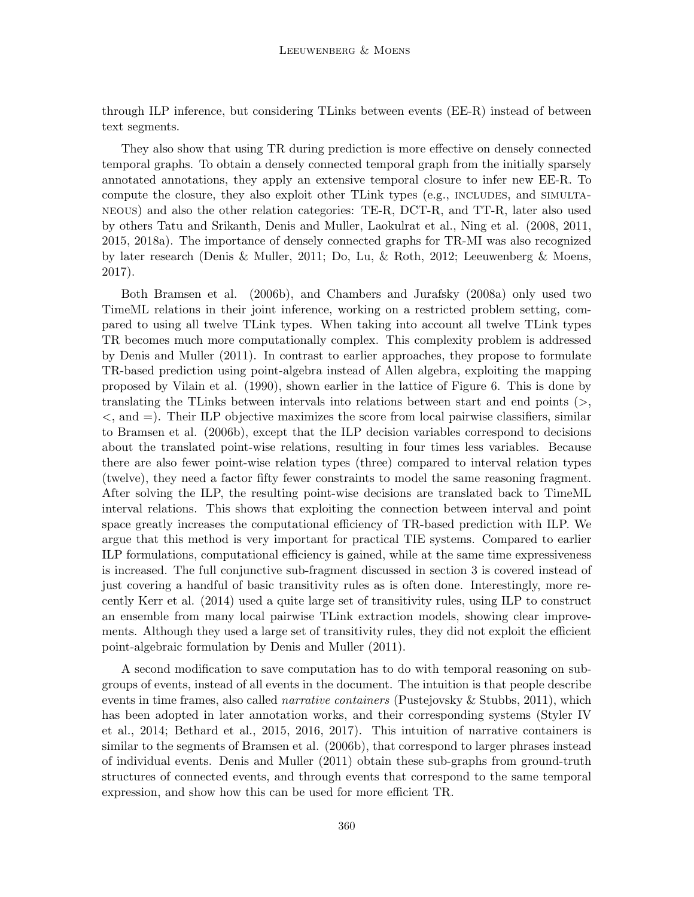through ILP inference, but considering TLinks between events (EE-R) instead of between text segments.

They also show that using TR during prediction is more effective on densely connected temporal graphs. To obtain a densely connected temporal graph from the initially sparsely annotated annotations, they apply an extensive temporal closure to infer new EE-R. To compute the closure, they also exploit other TLink types (e.g., INCLUDES, and SIMULTAneous) and also the other relation categories: TE-R, DCT-R, and TT-R, later also used by others Tatu and Srikanth, Denis and Muller, Laokulrat et al., Ning et al. (2008, 2011, 2015, 2018a). The importance of densely connected graphs for TR-MI was also recognized by later research (Denis & Muller, 2011; Do, Lu, & Roth, 2012; Leeuwenberg & Moens, 2017).

Both Bramsen et al. (2006b), and Chambers and Jurafsky (2008a) only used two TimeML relations in their joint inference, working on a restricted problem setting, compared to using all twelve TLink types. When taking into account all twelve TLink types TR becomes much more computationally complex. This complexity problem is addressed by Denis and Muller (2011). In contrast to earlier approaches, they propose to formulate TR-based prediction using point-algebra instead of Allen algebra, exploiting the mapping proposed by Vilain et al. (1990), shown earlier in the lattice of Figure 6. This is done by translating the TLinks between intervals into relations between start and end points (>,  $\langle$ , and  $=$ ). Their ILP objective maximizes the score from local pairwise classifiers, similar to Bramsen et al. (2006b), except that the ILP decision variables correspond to decisions about the translated point-wise relations, resulting in four times less variables. Because there are also fewer point-wise relation types (three) compared to interval relation types (twelve), they need a factor fifty fewer constraints to model the same reasoning fragment. After solving the ILP, the resulting point-wise decisions are translated back to TimeML interval relations. This shows that exploiting the connection between interval and point space greatly increases the computational efficiency of TR-based prediction with ILP. We argue that this method is very important for practical TIE systems. Compared to earlier ILP formulations, computational efficiency is gained, while at the same time expressiveness is increased. The full conjunctive sub-fragment discussed in section 3 is covered instead of just covering a handful of basic transitivity rules as is often done. Interestingly, more recently Kerr et al. (2014) used a quite large set of transitivity rules, using ILP to construct an ensemble from many local pairwise TLink extraction models, showing clear improvements. Although they used a large set of transitivity rules, they did not exploit the efficient point-algebraic formulation by Denis and Muller (2011).

A second modification to save computation has to do with temporal reasoning on subgroups of events, instead of all events in the document. The intuition is that people describe events in time frames, also called *narrative containers* (Pustejovsky & Stubbs, 2011), which has been adopted in later annotation works, and their corresponding systems (Styler IV et al., 2014; Bethard et al., 2015, 2016, 2017). This intuition of narrative containers is similar to the segments of Bramsen et al.  $(2006b)$ , that correspond to larger phrases instead of individual events. Denis and Muller (2011) obtain these sub-graphs from ground-truth structures of connected events, and through events that correspond to the same temporal expression, and show how this can be used for more efficient TR.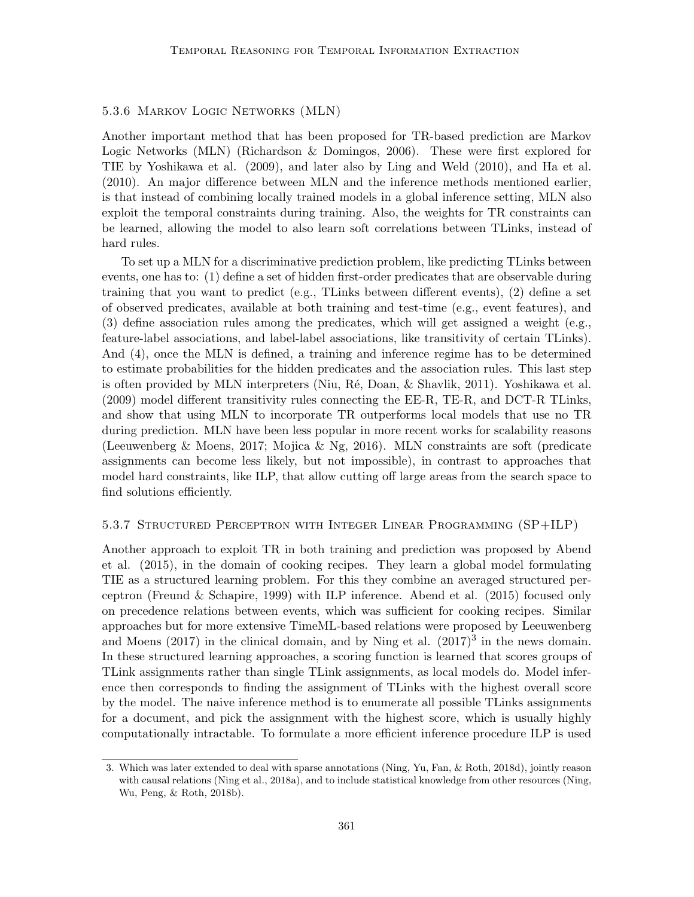## 5.3.6 Markov Logic Networks (MLN)

Another important method that has been proposed for TR-based prediction are Markov Logic Networks (MLN) (Richardson & Domingos, 2006). These were first explored for TIE by Yoshikawa et al. (2009), and later also by Ling and Weld (2010), and Ha et al. (2010). An major difference between MLN and the inference methods mentioned earlier, is that instead of combining locally trained models in a global inference setting, MLN also exploit the temporal constraints during training. Also, the weights for TR constraints can be learned, allowing the model to also learn soft correlations between TLinks, instead of hard rules.

To set up a MLN for a discriminative prediction problem, like predicting TLinks between events, one has to: (1) define a set of hidden first-order predicates that are observable during training that you want to predict (e.g., TLinks between different events), (2) define a set of observed predicates, available at both training and test-time (e.g., event features), and (3) define association rules among the predicates, which will get assigned a weight (e.g., feature-label associations, and label-label associations, like transitivity of certain TLinks). And (4), once the MLN is defined, a training and inference regime has to be determined to estimate probabilities for the hidden predicates and the association rules. This last step is often provided by MLN interpreters (Niu, Ré, Doan,  $\&$  Shavlik, 2011). Yoshikawa et al. (2009) model different transitivity rules connecting the EE-R, TE-R, and DCT-R TLinks, and show that using MLN to incorporate TR outperforms local models that use no TR during prediction. MLN have been less popular in more recent works for scalability reasons (Leeuwenberg & Moens, 2017; Mojica & Ng, 2016). MLN constraints are soft (predicate assignments can become less likely, but not impossible), in contrast to approaches that model hard constraints, like ILP, that allow cutting off large areas from the search space to find solutions efficiently.

#### 5.3.7 Structured Perceptron with Integer Linear Programming (SP+ILP)

Another approach to exploit TR in both training and prediction was proposed by Abend et al. (2015), in the domain of cooking recipes. They learn a global model formulating TIE as a structured learning problem. For this they combine an averaged structured perceptron (Freund & Schapire, 1999) with ILP inference. Abend et al. (2015) focused only on precedence relations between events, which was sufficient for cooking recipes. Similar approaches but for more extensive TimeML-based relations were proposed by Leeuwenberg and Moens  $(2017)$  in the clinical domain, and by Ning et al.  $(2017)^3$  in the news domain. In these structured learning approaches, a scoring function is learned that scores groups of TLink assignments rather than single TLink assignments, as local models do. Model inference then corresponds to finding the assignment of TLinks with the highest overall score by the model. The naive inference method is to enumerate all possible TLinks assignments for a document, and pick the assignment with the highest score, which is usually highly computationally intractable. To formulate a more efficient inference procedure ILP is used

<sup>3.</sup> Which was later extended to deal with sparse annotations (Ning, Yu, Fan, & Roth, 2018d), jointly reason with causal relations (Ning et al., 2018a), and to include statistical knowledge from other resources (Ning, Wu, Peng, & Roth, 2018b).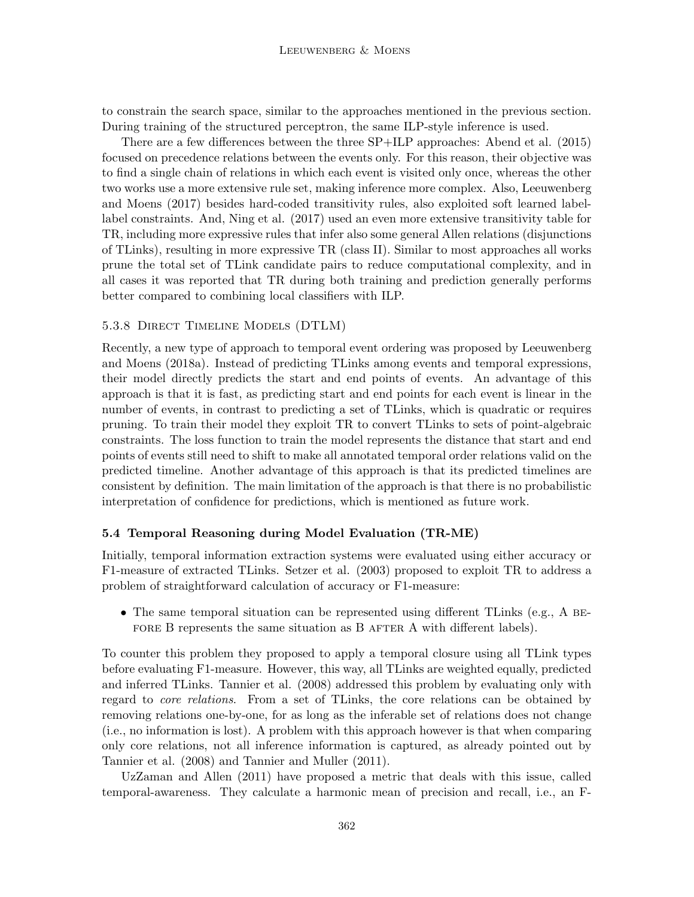to constrain the search space, similar to the approaches mentioned in the previous section. During training of the structured perceptron, the same ILP-style inference is used.

There are a few differences between the three SP+ILP approaches: Abend et al. (2015) focused on precedence relations between the events only. For this reason, their objective was to find a single chain of relations in which each event is visited only once, whereas the other two works use a more extensive rule set, making inference more complex. Also, Leeuwenberg and Moens (2017) besides hard-coded transitivity rules, also exploited soft learned labellabel constraints. And, Ning et al. (2017) used an even more extensive transitivity table for TR, including more expressive rules that infer also some general Allen relations (disjunctions of TLinks), resulting in more expressive TR (class II). Similar to most approaches all works prune the total set of TLink candidate pairs to reduce computational complexity, and in all cases it was reported that TR during both training and prediction generally performs better compared to combining local classifiers with ILP.

#### 5.3.8 Direct Timeline Models (DTLM)

Recently, a new type of approach to temporal event ordering was proposed by Leeuwenberg and Moens (2018a). Instead of predicting TLinks among events and temporal expressions, their model directly predicts the start and end points of events. An advantage of this approach is that it is fast, as predicting start and end points for each event is linear in the number of events, in contrast to predicting a set of TLinks, which is quadratic or requires pruning. To train their model they exploit TR to convert TLinks to sets of point-algebraic constraints. The loss function to train the model represents the distance that start and end points of events still need to shift to make all annotated temporal order relations valid on the predicted timeline. Another advantage of this approach is that its predicted timelines are consistent by definition. The main limitation of the approach is that there is no probabilistic interpretation of confidence for predictions, which is mentioned as future work.

## 5.4 Temporal Reasoning during Model Evaluation (TR-ME)

Initially, temporal information extraction systems were evaluated using either accuracy or F1-measure of extracted TLinks. Setzer et al. (2003) proposed to exploit TR to address a problem of straightforward calculation of accuracy or F1-measure:

• The same temporal situation can be represented using different TLinks (e.g., A BE-FORE B represents the same situation as B AFTER A with different labels).

To counter this problem they proposed to apply a temporal closure using all TLink types before evaluating F1-measure. However, this way, all TLinks are weighted equally, predicted and inferred TLinks. Tannier et al. (2008) addressed this problem by evaluating only with regard to core relations. From a set of TLinks, the core relations can be obtained by removing relations one-by-one, for as long as the inferable set of relations does not change (i.e., no information is lost). A problem with this approach however is that when comparing only core relations, not all inference information is captured, as already pointed out by Tannier et al. (2008) and Tannier and Muller (2011).

UzZaman and Allen (2011) have proposed a metric that deals with this issue, called temporal-awareness. They calculate a harmonic mean of precision and recall, i.e., an F-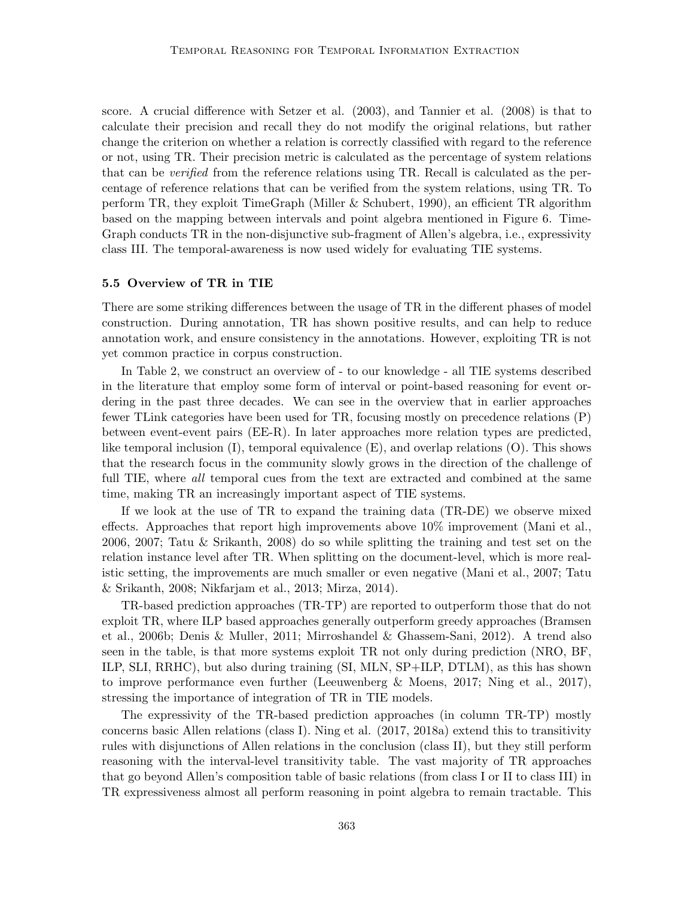score. A crucial difference with Setzer et al. (2003), and Tannier et al. (2008) is that to calculate their precision and recall they do not modify the original relations, but rather change the criterion on whether a relation is correctly classified with regard to the reference or not, using TR. Their precision metric is calculated as the percentage of system relations that can be *verified* from the reference relations using TR. Recall is calculated as the percentage of reference relations that can be verified from the system relations, using TR. To perform TR, they exploit TimeGraph (Miller & Schubert, 1990), an efficient TR algorithm based on the mapping between intervals and point algebra mentioned in Figure 6. Time-Graph conducts TR in the non-disjunctive sub-fragment of Allen's algebra, i.e., expressivity class III. The temporal-awareness is now used widely for evaluating TIE systems.

#### 5.5 Overview of TR in TIE

There are some striking differences between the usage of TR in the different phases of model construction. During annotation, TR has shown positive results, and can help to reduce annotation work, and ensure consistency in the annotations. However, exploiting TR is not yet common practice in corpus construction.

In Table 2, we construct an overview of - to our knowledge - all TIE systems described in the literature that employ some form of interval or point-based reasoning for event ordering in the past three decades. We can see in the overview that in earlier approaches fewer TLink categories have been used for TR, focusing mostly on precedence relations (P) between event-event pairs (EE-R). In later approaches more relation types are predicted, like temporal inclusion (I), temporal equivalence (E), and overlap relations (O). This shows that the research focus in the community slowly grows in the direction of the challenge of full TIE, where *all* temporal cues from the text are extracted and combined at the same time, making TR an increasingly important aspect of TIE systems.

If we look at the use of TR to expand the training data (TR-DE) we observe mixed effects. Approaches that report high improvements above 10% improvement (Mani et al., 2006, 2007; Tatu & Srikanth, 2008) do so while splitting the training and test set on the relation instance level after TR. When splitting on the document-level, which is more realistic setting, the improvements are much smaller or even negative (Mani et al., 2007; Tatu & Srikanth, 2008; Nikfarjam et al., 2013; Mirza, 2014).

TR-based prediction approaches (TR-TP) are reported to outperform those that do not exploit TR, where ILP based approaches generally outperform greedy approaches (Bramsen et al., 2006b; Denis & Muller, 2011; Mirroshandel & Ghassem-Sani, 2012). A trend also seen in the table, is that more systems exploit TR not only during prediction (NRO, BF, ILP, SLI, RRHC), but also during training (SI, MLN, SP+ILP, DTLM), as this has shown to improve performance even further (Leeuwenberg & Moens, 2017; Ning et al., 2017), stressing the importance of integration of TR in TIE models.

The expressivity of the TR-based prediction approaches (in column TR-TP) mostly concerns basic Allen relations (class I). Ning et al. (2017, 2018a) extend this to transitivity rules with disjunctions of Allen relations in the conclusion (class II), but they still perform reasoning with the interval-level transitivity table. The vast majority of TR approaches that go beyond Allen's composition table of basic relations (from class I or II to class III) in TR expressiveness almost all perform reasoning in point algebra to remain tractable. This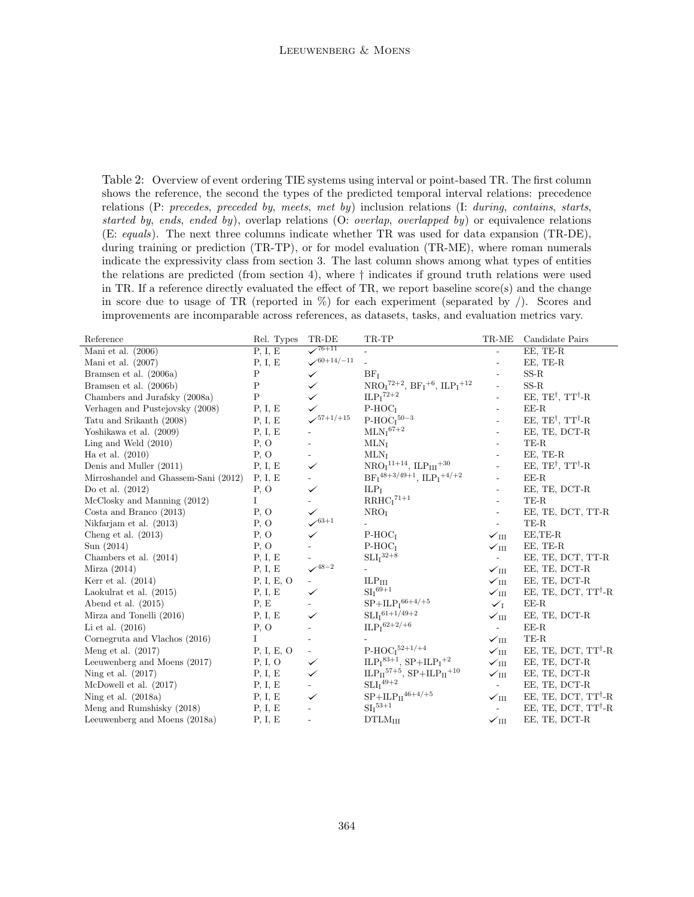Table 2: Overview of event ordering TIE systems using interval or point-based TR. The first column shows the reference, the second the types of the predicted temporal interval relations: precedence relations (P: precedes, preceded by, meets, met by) inclusion relations (I: during, contains, starts, started by, ends, ended by), overlap relations (O: *overlap, overlapped by)* or equivalence relations (E: equals). The next three columns indicate whether TR was used for data expansion (TR-DE), during training or prediction (TR-TP), or for model evaluation (TR-ME), where roman numerals indicate the expressivity class from section 3. The last column shows among what types of entities the relations are predicted (from section 4), where † indicates if ground truth relations were used in TR. If a reference directly evaluated the effect of TR, we report baseline score(s) and the change in score due to usage of TR (reported in  $\%$ ) for each experiment (separated by  $\ell$ ). Scores and improvements are incomparable across references, as datasets, tasks, and evaluation metrics vary.

| Reference                                    | Rel. Types  | TR-DE                        | TR-TP                                                                                                      | $\operatorname{TR-ME}$   | Candidate Pairs                          |
|----------------------------------------------|-------------|------------------------------|------------------------------------------------------------------------------------------------------------|--------------------------|------------------------------------------|
| Mani et al. $(2006)$                         | P, I, E     | $\sqrt{76+11}$               |                                                                                                            |                          | EE, TE-R                                 |
| Mani et al. $(2007)$                         | P, I, E     | $\times$ 60+14/-11           |                                                                                                            |                          | EE, TE-R                                 |
| Bramsen et al. (2006a)                       | $\mathbf P$ | $\checkmark$                 | BF <sub>T</sub>                                                                                            |                          | $SS-R$                                   |
| Bramsen et al. (2006b)                       | $\rm P$     | $\checkmark$                 | $\mathrm{NRO}_{\mathrm{I}}{}^{72+2},\,\mathrm{BF}_{\mathrm{I}}{}^{+6},\,\mathrm{ILP}_{\mathrm{I}}{}^{+12}$ | $\overline{a}$           | $SS-R$                                   |
| Chambers and Jurafsky (2008a)                | $\mathbf P$ | ✓                            | $\mathrm{ILP_{I}}^{72+2}$                                                                                  |                          | EE, TE <sup>†</sup> , TT <sup>†</sup> -R |
| Verhagen and Pustejovsky (2008)              | P, I, E     | $\checkmark$                 | $P-HOCI$                                                                                                   |                          | $EE-R$                                   |
| Tatu and Srikanth (2008)                     | P, I, E     | $\times$ <sup>57+1/+15</sup> | $\mathrm{P\text{-}HOC_I}^{50-3}$                                                                           |                          | EE, $TE^{\dagger}$ , $TT^{\dagger}$ -R   |
| Yoshikawa et al. (2009)                      | P, I, E     |                              | $MLNI67+2$                                                                                                 |                          | EE, TE, DCT-R                            |
| Ling and Weld $(2010)$                       | P, O        |                              | $MLN_I$                                                                                                    |                          | TE-R                                     |
| Ha et al. $(2010)$                           | P, O        |                              | $MLN_I$                                                                                                    |                          | EE, TE-R                                 |
| Denis and Muller (2011)                      | P, I, E     | $\checkmark$                 | $\mathrm{NRO}_{\mathrm{I}}{}^{11+14}, \, \mathrm{ILP}_{\mathrm{III}}{}^{+30}$                              |                          | EE, $TE^{\dagger}$ , $TT^{\dagger}$ -R   |
| Mirroshandel and Ghassem-Sani (2012) P, I, E |             |                              | $BF_I^{48+3/49+1}$ , $ILP_I^{+4/+2}$                                                                       |                          | $EE-R$                                   |
| Do et al. $(2012)$                           | P, O        | $\checkmark$                 | ILP <sub>T</sub>                                                                                           |                          | EE, TE, DCT-R                            |
| McClosky and Manning (2012)                  | $\mathbf I$ |                              | $\mathbf{RRHC_{I}}^{71+1}$                                                                                 |                          | TE-R                                     |
| Costa and Branco $(2013)$                    | P, O        | $\checkmark$                 | NRO <sub>I</sub>                                                                                           |                          | EE, TE, DCT, TT-R                        |
| Nikfarjam et al. (2013)                      | P, O        | $\smash{\checkmark}^{63+1}$  |                                                                                                            | $\overline{\phantom{a}}$ | TE-R                                     |
| Cheng et al. $(2013)$                        | P, O        |                              | $P-HOCI$                                                                                                   | $\sqrt{1}$ III           | EE,TE-R                                  |
| Sun(2014)                                    | P, O        |                              | $P-HOCI$                                                                                                   | $\sqrt{1}$ III           | EE, TE-R                                 |
| Chambers et al. (2014)                       | P, I, E     |                              | $\mathrm{SLI_{I}}^{32+8}$                                                                                  | $\sim$                   | EE, TE, DCT, TT-R                        |
| Mirza $(2014)$                               | P, I, E     | $\checkmark^{\rm 48-2}$      |                                                                                                            | $\sqrt{11}$              | EE, TE, DCT-R                            |
| Kerr et al. $(2014)$                         | P, I, E, O  | $\omega$                     | ILP <sub>III</sub>                                                                                         | $\checkmark_{\rm III}$   | EE, TE, DCT-R                            |
| Laokulrat et al. $(2015)$                    | P, I, E     | $\checkmark$                 | $\mathrm{SI_{I}}^{69+1}$                                                                                   | $\sqrt{111}$             | EE, TE, DCT, TT <sup>†</sup> -R          |
| Abend et al. $(2015)$                        | P, E        |                              | $SP + ILPI66+4/+5$                                                                                         | $\checkmark$             | $EE-R$                                   |
| Mirza and Tonelli (2016)                     | P, I, E     | $\checkmark$                 | $\mathrm{SLI}\mathrm{_{I}}^{61+1/49+2}$                                                                    | $\sqrt{111}$             | EE, TE, DCT-R                            |
| Li et al. $(2016)$                           | P, O        |                              | $ILPI62+2/+6$                                                                                              | $\overline{\phantom{a}}$ | $EE-R$                                   |
| Cornegruta and Vlachos (2016)                | L           | $\overline{\phantom{a}}$     |                                                                                                            | $\sqrt{1}$ III           | TE-R                                     |
| Meng et al. $(2017)$                         | P, I, E, O  | $\overline{\phantom{a}}$     | $P-HOC152+1/+4$                                                                                            | $\sqrt{111}$             | EE, TE, DCT, TT <sup>†</sup> -R          |
| Leeuwenberg and Moens (2017)                 | P, I, O     | $\checkmark$                 | $ILPI83+1, SP+ILPI+2$                                                                                      | $\checkmark$ III         | EE, TE, DCT-R                            |
| Ning et al. (2017)                           | P, I, E     | $\checkmark$                 | $\mathrm{ILP_{II}}^{57+5},\,\mathrm{SP{+}ILP_{II}{+}10}$                                                   | $\sqrt{111}$             | EE, TE, DCT-R                            |
| McDowell et al. $(2017)$                     | P, I, E     |                              | $\mathrm{SLI_{I}}^{49+2}$                                                                                  | $\sim$                   | EE, TE, DCT-R                            |
| Ning et al. $(2018a)$                        | P, I, E     | $\checkmark$                 | $SP+ILP_{II}^{46+4/+5}$                                                                                    | $\sqrt{111}$             | EE, TE, DCT, TT <sup>†</sup> -R          |
| Meng and Rumshisky (2018)                    | P, I, E     |                              | $SII$ <sup>53+1</sup>                                                                                      | $\mathcal{L}^{\pm}$      | EE, TE, DCT, TT <sup>†</sup> -R          |
| Leeuwenberg and Moens (2018a)                | P, I, E     |                              | $DTLM_{III}$                                                                                               | $\sqrt{111}$             | EE, TE, DCT-R                            |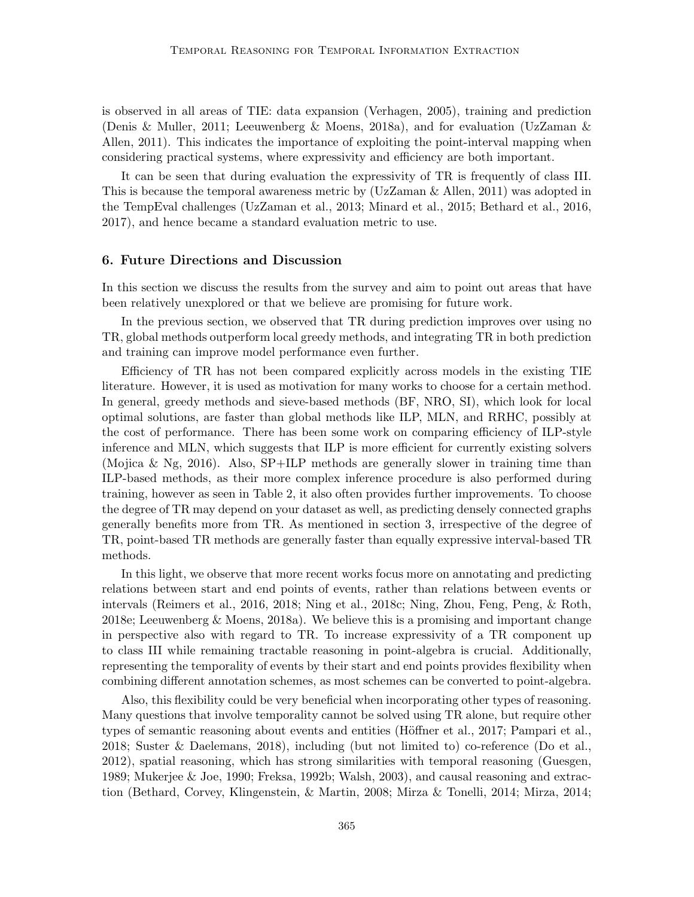is observed in all areas of TIE: data expansion (Verhagen, 2005), training and prediction (Denis & Muller, 2011; Leeuwenberg & Moens, 2018a), and for evaluation (UzZaman & Allen, 2011). This indicates the importance of exploiting the point-interval mapping when considering practical systems, where expressivity and efficiency are both important.

It can be seen that during evaluation the expressivity of TR is frequently of class III. This is because the temporal awareness metric by (UzZaman & Allen, 2011) was adopted in the TempEval challenges (UzZaman et al., 2013; Minard et al., 2015; Bethard et al., 2016, 2017), and hence became a standard evaluation metric to use.

## 6. Future Directions and Discussion

In this section we discuss the results from the survey and aim to point out areas that have been relatively unexplored or that we believe are promising for future work.

In the previous section, we observed that TR during prediction improves over using no TR, global methods outperform local greedy methods, and integrating TR in both prediction and training can improve model performance even further.

Efficiency of TR has not been compared explicitly across models in the existing TIE literature. However, it is used as motivation for many works to choose for a certain method. In general, greedy methods and sieve-based methods (BF, NRO, SI), which look for local optimal solutions, are faster than global methods like ILP, MLN, and RRHC, possibly at the cost of performance. There has been some work on comparing efficiency of ILP-style inference and MLN, which suggests that ILP is more efficient for currently existing solvers (Mojica & Ng, 2016). Also, SP+ILP methods are generally slower in training time than ILP-based methods, as their more complex inference procedure is also performed during training, however as seen in Table 2, it also often provides further improvements. To choose the degree of TR may depend on your dataset as well, as predicting densely connected graphs generally benefits more from TR. As mentioned in section 3, irrespective of the degree of TR, point-based TR methods are generally faster than equally expressive interval-based TR methods.

In this light, we observe that more recent works focus more on annotating and predicting relations between start and end points of events, rather than relations between events or intervals (Reimers et al., 2016, 2018; Ning et al., 2018c; Ning, Zhou, Feng, Peng, & Roth, 2018e; Leeuwenberg & Moens, 2018a). We believe this is a promising and important change in perspective also with regard to TR. To increase expressivity of a TR component up to class III while remaining tractable reasoning in point-algebra is crucial. Additionally, representing the temporality of events by their start and end points provides flexibility when combining different annotation schemes, as most schemes can be converted to point-algebra.

Also, this flexibility could be very beneficial when incorporating other types of reasoning. Many questions that involve temporality cannot be solved using TR alone, but require other types of semantic reasoning about events and entities (Höffner et al., 2017; Pampari et al., 2018; Suster & Daelemans, 2018), including (but not limited to) co-reference (Do et al., 2012), spatial reasoning, which has strong similarities with temporal reasoning (Guesgen, 1989; Mukerjee & Joe, 1990; Freksa, 1992b; Walsh, 2003), and causal reasoning and extraction (Bethard, Corvey, Klingenstein, & Martin, 2008; Mirza & Tonelli, 2014; Mirza, 2014;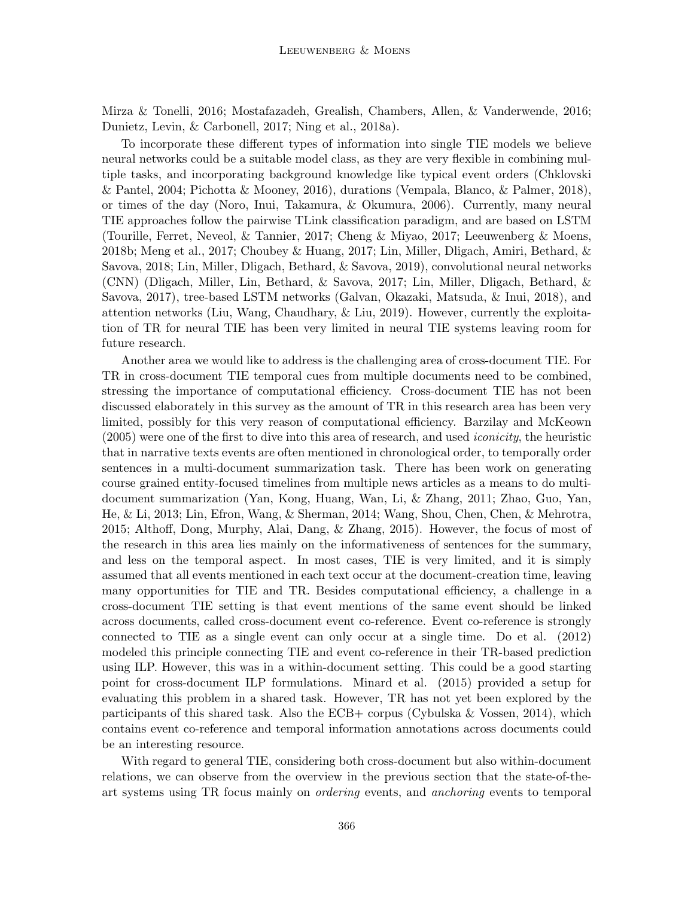Mirza & Tonelli, 2016; Mostafazadeh, Grealish, Chambers, Allen, & Vanderwende, 2016; Dunietz, Levin, & Carbonell, 2017; Ning et al., 2018a).

To incorporate these different types of information into single TIE models we believe neural networks could be a suitable model class, as they are very flexible in combining multiple tasks, and incorporating background knowledge like typical event orders (Chklovski & Pantel, 2004; Pichotta & Mooney, 2016), durations (Vempala, Blanco, & Palmer, 2018), or times of the day (Noro, Inui, Takamura, & Okumura, 2006). Currently, many neural TIE approaches follow the pairwise TLink classification paradigm, and are based on LSTM (Tourille, Ferret, Neveol, & Tannier, 2017; Cheng & Miyao, 2017; Leeuwenberg & Moens, 2018b; Meng et al., 2017; Choubey & Huang, 2017; Lin, Miller, Dligach, Amiri, Bethard, & Savova, 2018; Lin, Miller, Dligach, Bethard, & Savova, 2019), convolutional neural networks (CNN) (Dligach, Miller, Lin, Bethard, & Savova, 2017; Lin, Miller, Dligach, Bethard, & Savova, 2017), tree-based LSTM networks (Galvan, Okazaki, Matsuda, & Inui, 2018), and attention networks (Liu, Wang, Chaudhary, & Liu, 2019). However, currently the exploitation of TR for neural TIE has been very limited in neural TIE systems leaving room for future research.

Another area we would like to address is the challenging area of cross-document TIE. For TR in cross-document TIE temporal cues from multiple documents need to be combined, stressing the importance of computational efficiency. Cross-document TIE has not been discussed elaborately in this survey as the amount of TR in this research area has been very limited, possibly for this very reason of computational efficiency. Barzilay and McKeown (2005) were one of the first to dive into this area of research, and used iconicity, the heuristic that in narrative texts events are often mentioned in chronological order, to temporally order sentences in a multi-document summarization task. There has been work on generating course grained entity-focused timelines from multiple news articles as a means to do multidocument summarization (Yan, Kong, Huang, Wan, Li, & Zhang, 2011; Zhao, Guo, Yan, He, & Li, 2013; Lin, Efron, Wang, & Sherman, 2014; Wang, Shou, Chen, Chen, & Mehrotra, 2015; Althoff, Dong, Murphy, Alai, Dang, & Zhang, 2015). However, the focus of most of the research in this area lies mainly on the informativeness of sentences for the summary, and less on the temporal aspect. In most cases, TIE is very limited, and it is simply assumed that all events mentioned in each text occur at the document-creation time, leaving many opportunities for TIE and TR. Besides computational efficiency, a challenge in a cross-document TIE setting is that event mentions of the same event should be linked across documents, called cross-document event co-reference. Event co-reference is strongly connected to TIE as a single event can only occur at a single time. Do et al. (2012) modeled this principle connecting TIE and event co-reference in their TR-based prediction using ILP. However, this was in a within-document setting. This could be a good starting point for cross-document ILP formulations. Minard et al. (2015) provided a setup for evaluating this problem in a shared task. However, TR has not yet been explored by the participants of this shared task. Also the ECB+ corpus (Cybulska & Vossen, 2014), which contains event co-reference and temporal information annotations across documents could be an interesting resource.

With regard to general TIE, considering both cross-document but also within-document relations, we can observe from the overview in the previous section that the state-of-theart systems using TR focus mainly on ordering events, and anchoring events to temporal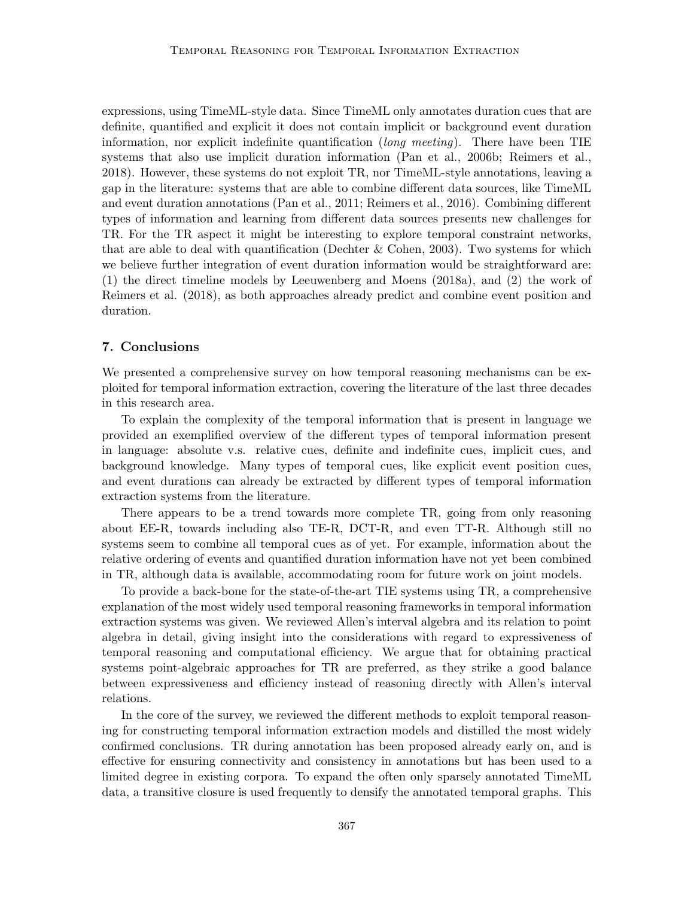expressions, using TimeML-style data. Since TimeML only annotates duration cues that are definite, quantified and explicit it does not contain implicit or background event duration information, nor explicit indefinite quantification (long meeting). There have been TIE systems that also use implicit duration information (Pan et al., 2006b; Reimers et al., 2018). However, these systems do not exploit TR, nor TimeML-style annotations, leaving a gap in the literature: systems that are able to combine different data sources, like TimeML and event duration annotations (Pan et al., 2011; Reimers et al., 2016). Combining different types of information and learning from different data sources presents new challenges for TR. For the TR aspect it might be interesting to explore temporal constraint networks, that are able to deal with quantification (Dechter  $\&$  Cohen, 2003). Two systems for which we believe further integration of event duration information would be straightforward are: (1) the direct timeline models by Leeuwenberg and Moens (2018a), and (2) the work of Reimers et al. (2018), as both approaches already predict and combine event position and duration.

## 7. Conclusions

We presented a comprehensive survey on how temporal reasoning mechanisms can be exploited for temporal information extraction, covering the literature of the last three decades in this research area.

To explain the complexity of the temporal information that is present in language we provided an exemplified overview of the different types of temporal information present in language: absolute v.s. relative cues, definite and indefinite cues, implicit cues, and background knowledge. Many types of temporal cues, like explicit event position cues, and event durations can already be extracted by different types of temporal information extraction systems from the literature.

There appears to be a trend towards more complete TR, going from only reasoning about EE-R, towards including also TE-R, DCT-R, and even TT-R. Although still no systems seem to combine all temporal cues as of yet. For example, information about the relative ordering of events and quantified duration information have not yet been combined in TR, although data is available, accommodating room for future work on joint models.

To provide a back-bone for the state-of-the-art TIE systems using TR, a comprehensive explanation of the most widely used temporal reasoning frameworks in temporal information extraction systems was given. We reviewed Allen's interval algebra and its relation to point algebra in detail, giving insight into the considerations with regard to expressiveness of temporal reasoning and computational efficiency. We argue that for obtaining practical systems point-algebraic approaches for TR are preferred, as they strike a good balance between expressiveness and efficiency instead of reasoning directly with Allen's interval relations.

In the core of the survey, we reviewed the different methods to exploit temporal reasoning for constructing temporal information extraction models and distilled the most widely confirmed conclusions. TR during annotation has been proposed already early on, and is effective for ensuring connectivity and consistency in annotations but has been used to a limited degree in existing corpora. To expand the often only sparsely annotated TimeML data, a transitive closure is used frequently to densify the annotated temporal graphs. This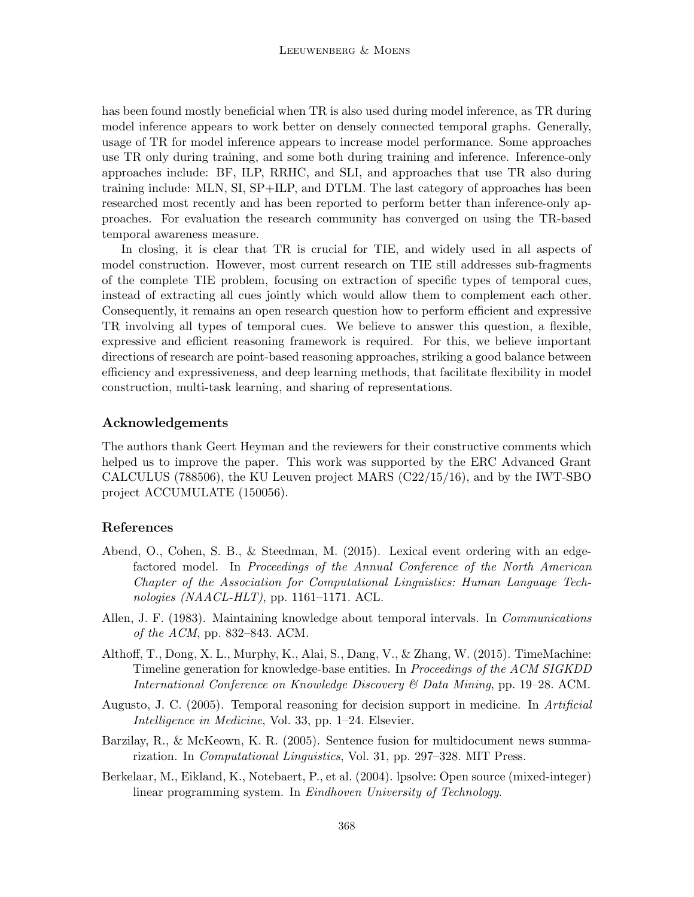has been found mostly beneficial when TR is also used during model inference, as TR during model inference appears to work better on densely connected temporal graphs. Generally, usage of TR for model inference appears to increase model performance. Some approaches use TR only during training, and some both during training and inference. Inference-only approaches include: BF, ILP, RRHC, and SLI, and approaches that use TR also during training include: MLN, SI, SP+ILP, and DTLM. The last category of approaches has been researched most recently and has been reported to perform better than inference-only approaches. For evaluation the research community has converged on using the TR-based temporal awareness measure.

In closing, it is clear that TR is crucial for TIE, and widely used in all aspects of model construction. However, most current research on TIE still addresses sub-fragments of the complete TIE problem, focusing on extraction of specific types of temporal cues, instead of extracting all cues jointly which would allow them to complement each other. Consequently, it remains an open research question how to perform efficient and expressive TR involving all types of temporal cues. We believe to answer this question, a flexible, expressive and efficient reasoning framework is required. For this, we believe important directions of research are point-based reasoning approaches, striking a good balance between efficiency and expressiveness, and deep learning methods, that facilitate flexibility in model construction, multi-task learning, and sharing of representations.

## Acknowledgements

The authors thank Geert Heyman and the reviewers for their constructive comments which helped us to improve the paper. This work was supported by the ERC Advanced Grant CALCULUS (788506), the KU Leuven project MARS (C22/15/16), and by the IWT-SBO project ACCUMULATE (150056).

## References

- Abend, O., Cohen, S. B., & Steedman, M. (2015). Lexical event ordering with an edgefactored model. In Proceedings of the Annual Conference of the North American Chapter of the Association for Computational Linguistics: Human Language Technologies (NAACL-HLT), pp. 1161–1171. ACL.
- Allen, J. F. (1983). Maintaining knowledge about temporal intervals. In Communications of the  $ACM$ , pp. 832–843. ACM.
- Althoff, T., Dong, X. L., Murphy, K., Alai, S., Dang, V., & Zhang, W. (2015). TimeMachine: Timeline generation for knowledge-base entities. In Proceedings of the ACM SIGKDD International Conference on Knowledge Discovery & Data Mining, pp. 19–28. ACM.
- Augusto, J. C. (2005). Temporal reasoning for decision support in medicine. In Artificial Intelligence in Medicine, Vol. 33, pp. 1–24. Elsevier.
- Barzilay, R., & McKeown, K. R. (2005). Sentence fusion for multidocument news summarization. In Computational Linguistics, Vol. 31, pp. 297–328. MIT Press.
- Berkelaar, M., Eikland, K., Notebaert, P., et al. (2004). lpsolve: Open source (mixed-integer) linear programming system. In Eindhoven University of Technology.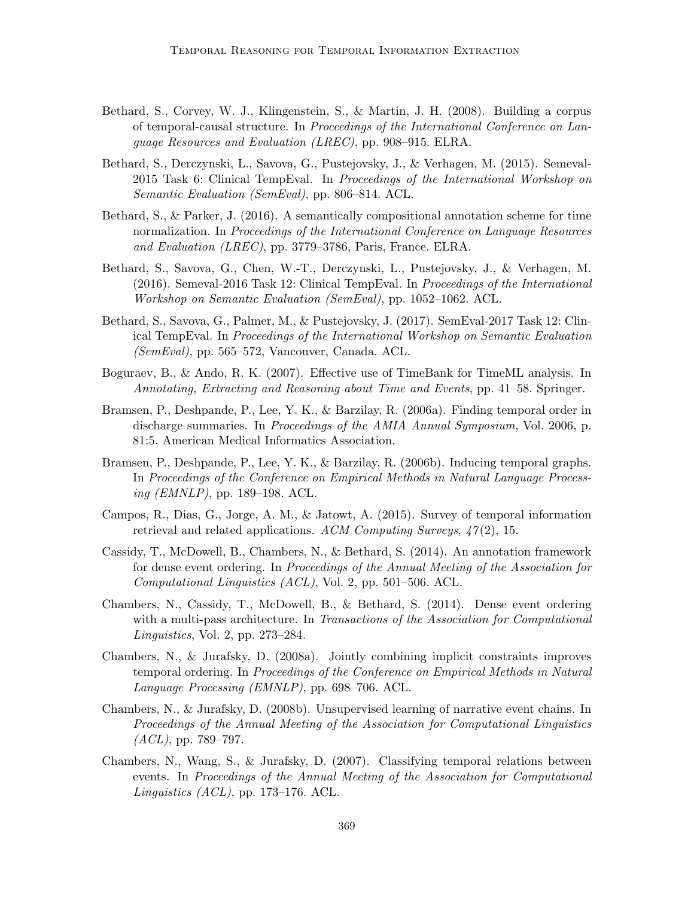- Bethard, S., Corvey, W. J., Klingenstein, S., & Martin, J. H. (2008). Building a corpus of temporal-causal structure. In Proceedings of the International Conference on Language Resources and Evaluation (LREC), pp. 908–915. ELRA.
- Bethard, S., Derczynski, L., Savova, G., Pustejovsky, J., & Verhagen, M. (2015). Semeval-2015 Task 6: Clinical TempEval. In Proceedings of the International Workshop on Semantic Evaluation (SemEval), pp. 806–814. ACL.
- Bethard, S., & Parker, J. (2016). A semantically compositional annotation scheme for time normalization. In Proceedings of the International Conference on Language Resources and Evaluation (LREC), pp. 3779–3786, Paris, France. ELRA.
- Bethard, S., Savova, G., Chen, W.-T., Derczynski, L., Pustejovsky, J., & Verhagen, M. (2016). Semeval-2016 Task 12: Clinical TempEval. In Proceedings of the International Workshop on Semantic Evaluation (SemEval), pp. 1052–1062. ACL.
- Bethard, S., Savova, G., Palmer, M., & Pustejovsky, J. (2017). SemEval-2017 Task 12: Clinical TempEval. In Proceedings of the International Workshop on Semantic Evaluation (SemEval), pp. 565–572, Vancouver, Canada. ACL.
- Boguraev, B., & Ando, R. K. (2007). Effective use of TimeBank for TimeML analysis. In Annotating, Extracting and Reasoning about Time and Events, pp. 41–58. Springer.
- Bramsen, P., Deshpande, P., Lee, Y. K., & Barzilay, R. (2006a). Finding temporal order in discharge summaries. In *Proceedings of the AMIA Annual Symposium*, Vol. 2006, p. 81:5. American Medical Informatics Association.
- Bramsen, P., Deshpande, P., Lee, Y. K., & Barzilay, R. (2006b). Inducing temporal graphs. In Proceedings of the Conference on Empirical Methods in Natural Language Processing (EMNLP), pp. 189–198. ACL.
- Campos, R., Dias, G., Jorge, A. M., & Jatowt, A. (2015). Survey of temporal information retrieval and related applications. ACM Computing Surveys,  $47(2)$ , 15.
- Cassidy, T., McDowell, B., Chambers, N., & Bethard, S. (2014). An annotation framework for dense event ordering. In Proceedings of the Annual Meeting of the Association for Computational Linguistics (ACL), Vol. 2, pp. 501–506. ACL.
- Chambers, N., Cassidy, T., McDowell, B., & Bethard, S. (2014). Dense event ordering with a multi-pass architecture. In Transactions of the Association for Computational Linguistics, Vol. 2, pp. 273–284.
- Chambers, N., & Jurafsky, D. (2008a). Jointly combining implicit constraints improves temporal ordering. In Proceedings of the Conference on Empirical Methods in Natural Language Processing (EMNLP), pp. 698–706. ACL.
- Chambers, N., & Jurafsky, D. (2008b). Unsupervised learning of narrative event chains. In Proceedings of the Annual Meeting of the Association for Computational Linguistics  $(ACL)$ , pp. 789–797.
- Chambers, N., Wang, S., & Jurafsky, D. (2007). Classifying temporal relations between events. In Proceedings of the Annual Meeting of the Association for Computational Linguistics  $(ACL)$ , pp. 173–176. ACL.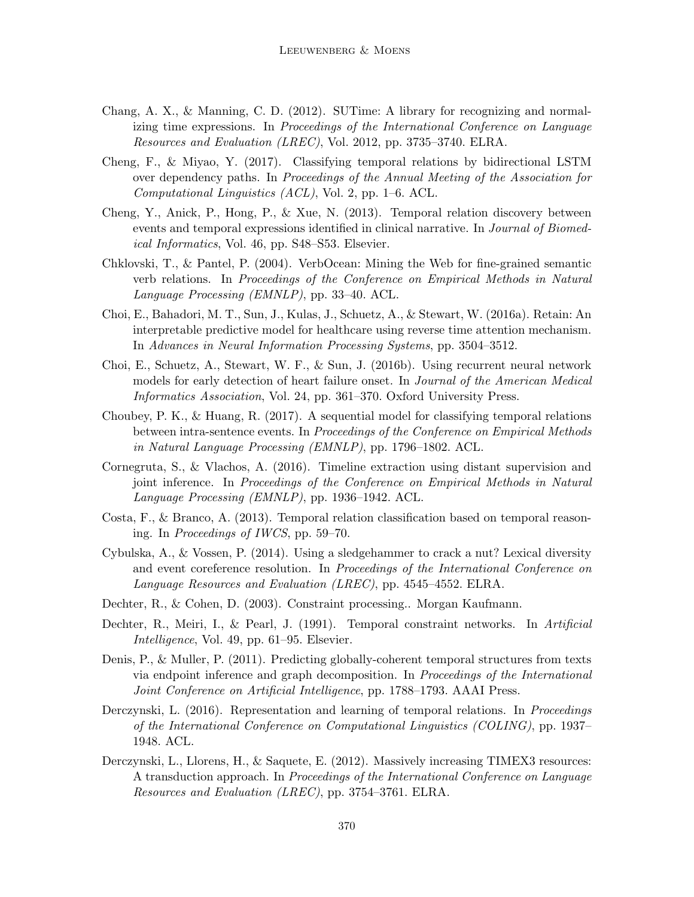- Chang, A. X., & Manning, C. D. (2012). SUTime: A library for recognizing and normalizing time expressions. In *Proceedings of the International Conference on Language* Resources and Evaluation (LREC), Vol. 2012, pp. 3735–3740. ELRA.
- Cheng, F., & Miyao, Y. (2017). Classifying temporal relations by bidirectional LSTM over dependency paths. In Proceedings of the Annual Meeting of the Association for Computational Linguistics (ACL), Vol. 2, pp. 1–6. ACL.
- Cheng, Y., Anick, P., Hong, P., & Xue, N. (2013). Temporal relation discovery between events and temporal expressions identified in clinical narrative. In *Journal of Biomed*ical Informatics, Vol. 46, pp. S48–S53. Elsevier.
- Chklovski, T., & Pantel, P. (2004). VerbOcean: Mining the Web for fine-grained semantic verb relations. In Proceedings of the Conference on Empirical Methods in Natural Language Processing (EMNLP), pp. 33–40. ACL.
- Choi, E., Bahadori, M. T., Sun, J., Kulas, J., Schuetz, A., & Stewart, W. (2016a). Retain: An interpretable predictive model for healthcare using reverse time attention mechanism. In Advances in Neural Information Processing Systems, pp. 3504–3512.
- Choi, E., Schuetz, A., Stewart, W. F., & Sun, J. (2016b). Using recurrent neural network models for early detection of heart failure onset. In Journal of the American Medical Informatics Association, Vol. 24, pp. 361–370. Oxford University Press.
- Choubey, P. K., & Huang, R. (2017). A sequential model for classifying temporal relations between intra-sentence events. In Proceedings of the Conference on Empirical Methods in Natural Language Processing (EMNLP), pp. 1796–1802. ACL.
- Cornegruta, S., & Vlachos, A. (2016). Timeline extraction using distant supervision and joint inference. In Proceedings of the Conference on Empirical Methods in Natural Language Processing (EMNLP), pp. 1936–1942. ACL.
- Costa, F., & Branco, A. (2013). Temporal relation classification based on temporal reasoning. In Proceedings of IWCS, pp. 59–70.
- Cybulska, A., & Vossen, P. (2014). Using a sledgehammer to crack a nut? Lexical diversity and event coreference resolution. In Proceedings of the International Conference on Language Resources and Evaluation (LREC), pp. 4545–4552. ELRA.
- Dechter, R., & Cohen, D. (2003). Constraint processing.. Morgan Kaufmann.
- Dechter, R., Meiri, I., & Pearl, J. (1991). Temporal constraint networks. In Artificial Intelligence, Vol. 49, pp. 61–95. Elsevier.
- Denis, P., & Muller, P. (2011). Predicting globally-coherent temporal structures from texts via endpoint inference and graph decomposition. In Proceedings of the International Joint Conference on Artificial Intelligence, pp. 1788–1793. AAAI Press.
- Derczynski, L. (2016). Representation and learning of temporal relations. In *Proceedings* of the International Conference on Computational Linguistics (COLING), pp. 1937– 1948. ACL.
- Derczynski, L., Llorens, H., & Saquete, E. (2012). Massively increasing TIMEX3 resources: A transduction approach. In Proceedings of the International Conference on Language Resources and Evaluation (LREC), pp. 3754–3761. ELRA.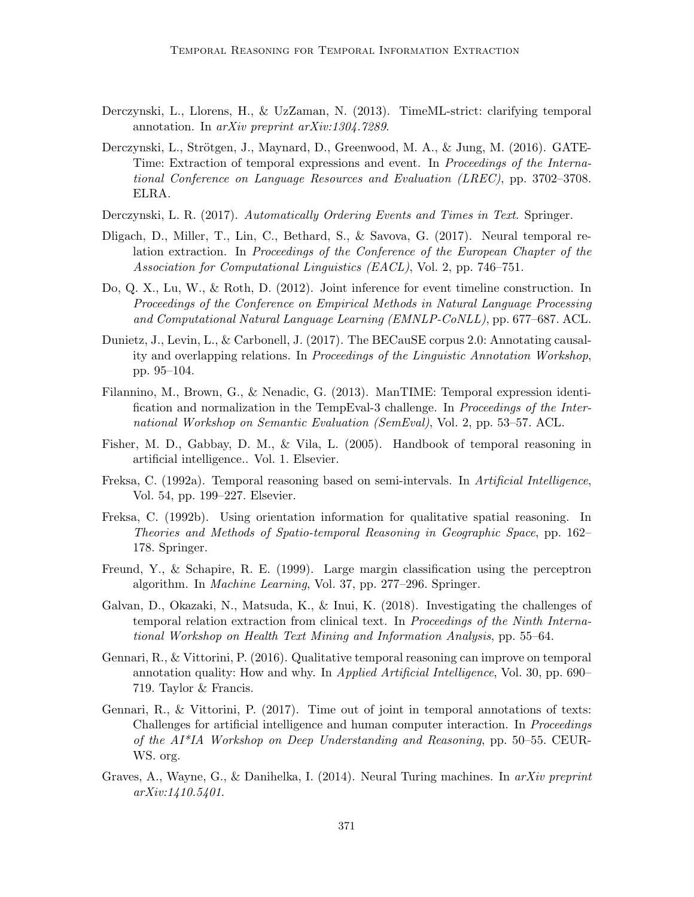- Derczynski, L., Llorens, H., & UzZaman, N. (2013). TimeML-strict: clarifying temporal annotation. In arXiv preprint arXiv:1304.7289.
- Derczynski, L., Strötgen, J., Maynard, D., Greenwood, M. A., & Jung, M. (2016). GATE-Time: Extraction of temporal expressions and event. In Proceedings of the International Conference on Language Resources and Evaluation (LREC), pp. 3702–3708. ELRA.
- Derczynski, L. R. (2017). Automatically Ordering Events and Times in Text. Springer.
- Dligach, D., Miller, T., Lin, C., Bethard, S., & Savova, G. (2017). Neural temporal relation extraction. In Proceedings of the Conference of the European Chapter of the Association for Computational Linguistics (EACL), Vol. 2, pp. 746–751.
- Do, Q. X., Lu, W., & Roth, D. (2012). Joint inference for event timeline construction. In Proceedings of the Conference on Empirical Methods in Natural Language Processing and Computational Natural Language Learning (EMNLP-CoNLL), pp. 677–687. ACL.
- Dunietz, J., Levin, L., & Carbonell, J. (2017). The BECauSE corpus 2.0: Annotating causality and overlapping relations. In Proceedings of the Linguistic Annotation Workshop, pp. 95–104.
- Filannino, M., Brown, G., & Nenadic, G. (2013). ManTIME: Temporal expression identification and normalization in the TempEval-3 challenge. In Proceedings of the International Workshop on Semantic Evaluation (SemEval), Vol. 2, pp. 53–57. ACL.
- Fisher, M. D., Gabbay, D. M., & Vila, L. (2005). Handbook of temporal reasoning in artificial intelligence.. Vol. 1. Elsevier.
- Freksa, C. (1992a). Temporal reasoning based on semi-intervals. In Artificial Intelligence, Vol. 54, pp. 199–227. Elsevier.
- Freksa, C. (1992b). Using orientation information for qualitative spatial reasoning. In Theories and Methods of Spatio-temporal Reasoning in Geographic Space, pp. 162– 178. Springer.
- Freund, Y., & Schapire, R. E. (1999). Large margin classification using the perceptron algorithm. In Machine Learning, Vol. 37, pp. 277–296. Springer.
- Galvan, D., Okazaki, N., Matsuda, K., & Inui, K. (2018). Investigating the challenges of temporal relation extraction from clinical text. In Proceedings of the Ninth International Workshop on Health Text Mining and Information Analysis, pp. 55–64.
- Gennari, R., & Vittorini, P. (2016). Qualitative temporal reasoning can improve on temporal annotation quality: How and why. In Applied Artificial Intelligence, Vol. 30, pp. 690– 719. Taylor & Francis.
- Gennari, R., & Vittorini, P. (2017). Time out of joint in temporal annotations of texts: Challenges for artificial intelligence and human computer interaction. In Proceedings of the AI\*IA Workshop on Deep Understanding and Reasoning, pp. 50–55. CEUR-WS. org.
- Graves, A., Wayne, G., & Danihelka, I. (2014). Neural Turing machines. In  $arXiv$  preprint arXiv:1410.5401.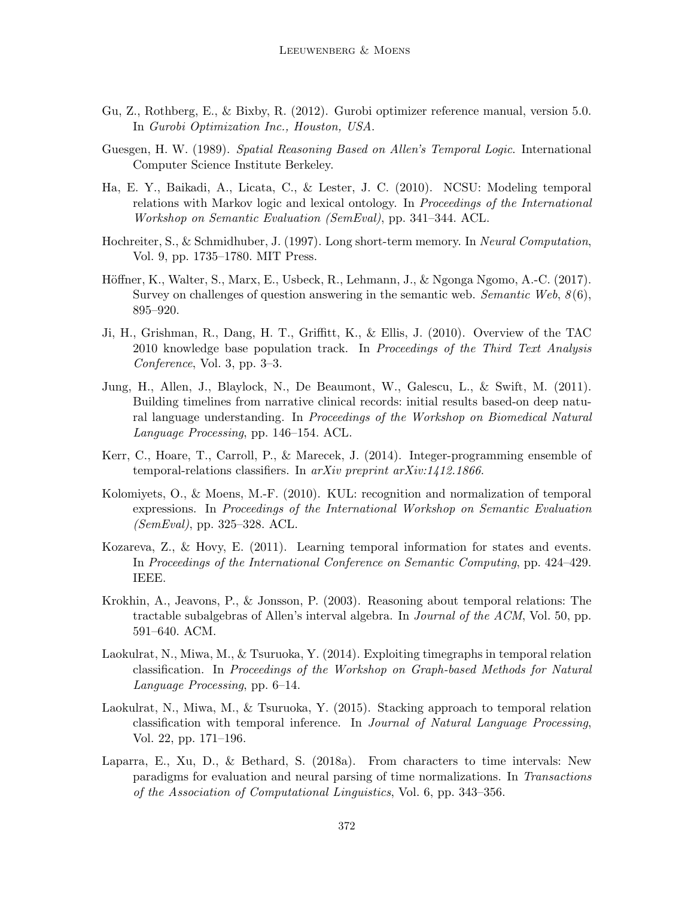- Gu, Z., Rothberg, E., & Bixby, R. (2012). Gurobi optimizer reference manual, version 5.0. In Gurobi Optimization Inc., Houston, USA.
- Guesgen, H. W. (1989). Spatial Reasoning Based on Allen's Temporal Logic. International Computer Science Institute Berkeley.
- Ha, E. Y., Baikadi, A., Licata, C., & Lester, J. C. (2010). NCSU: Modeling temporal relations with Markov logic and lexical ontology. In Proceedings of the International Workshop on Semantic Evaluation (SemEval), pp. 341–344. ACL.
- Hochreiter, S., & Schmidhuber, J. (1997). Long short-term memory. In Neural Computation, Vol. 9, pp. 1735–1780. MIT Press.
- Höffner, K., Walter, S., Marx, E., Usbeck, R., Lehmann, J., & Ngonga Ngomo, A.-C. (2017). Survey on challenges of question answering in the semantic web. Semantic Web,  $8(6)$ , 895–920.
- Ji, H., Grishman, R., Dang, H. T., Griffitt, K., & Ellis, J. (2010). Overview of the TAC 2010 knowledge base population track. In Proceedings of the Third Text Analysis Conference, Vol. 3, pp. 3–3.
- Jung, H., Allen, J., Blaylock, N., De Beaumont, W., Galescu, L., & Swift, M. (2011). Building timelines from narrative clinical records: initial results based-on deep natural language understanding. In Proceedings of the Workshop on Biomedical Natural Language Processing, pp. 146–154. ACL.
- Kerr, C., Hoare, T., Carroll, P., & Marecek, J. (2014). Integer-programming ensemble of temporal-relations classifiers. In arXiv preprint arXiv:1412.1866.
- Kolomiyets, O., & Moens, M.-F. (2010). KUL: recognition and normalization of temporal expressions. In Proceedings of the International Workshop on Semantic Evaluation (SemEval), pp. 325–328. ACL.
- Kozareva, Z., & Hovy, E. (2011). Learning temporal information for states and events. In Proceedings of the International Conference on Semantic Computing, pp. 424–429. IEEE.
- Krokhin, A., Jeavons, P., & Jonsson, P. (2003). Reasoning about temporal relations: The tractable subalgebras of Allen's interval algebra. In Journal of the ACM, Vol. 50, pp. 591–640. ACM.
- Laokulrat, N., Miwa, M., & Tsuruoka, Y. (2014). Exploiting timegraphs in temporal relation classification. In Proceedings of the Workshop on Graph-based Methods for Natural Language Processing, pp. 6–14.
- Laokulrat, N., Miwa, M., & Tsuruoka, Y. (2015). Stacking approach to temporal relation classification with temporal inference. In Journal of Natural Language Processing, Vol. 22, pp. 171–196.
- Laparra, E., Xu, D., & Bethard, S. (2018a). From characters to time intervals: New paradigms for evaluation and neural parsing of time normalizations. In Transactions of the Association of Computational Linguistics, Vol. 6, pp. 343–356.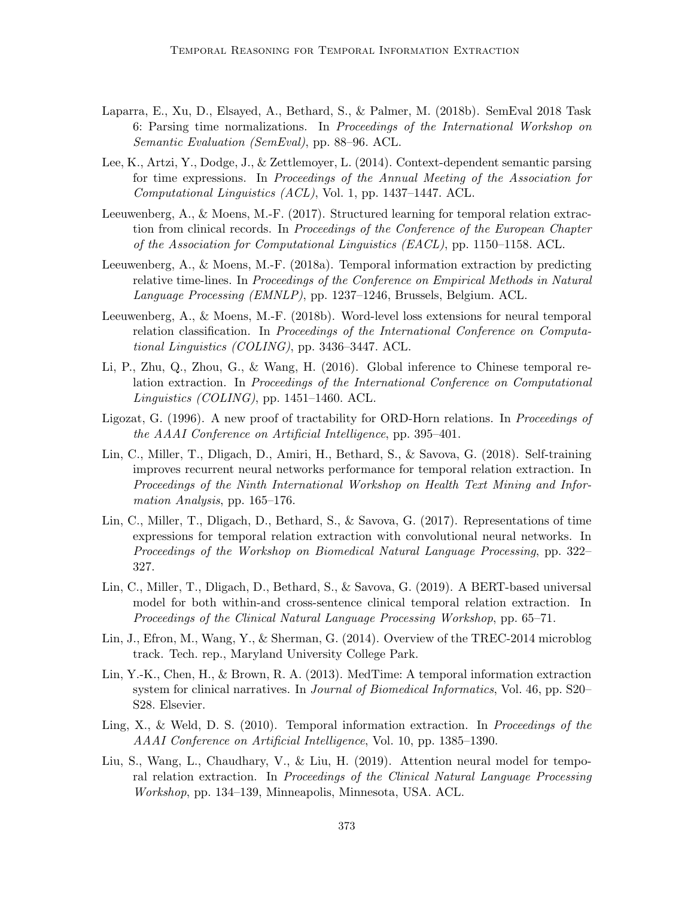- Laparra, E., Xu, D., Elsayed, A., Bethard, S., & Palmer, M. (2018b). SemEval 2018 Task 6: Parsing time normalizations. In Proceedings of the International Workshop on Semantic Evaluation (SemEval), pp. 88–96. ACL.
- Lee, K., Artzi, Y., Dodge, J., & Zettlemoyer, L. (2014). Context-dependent semantic parsing for time expressions. In Proceedings of the Annual Meeting of the Association for Computational Linguistics (ACL), Vol. 1, pp. 1437–1447. ACL.
- Leeuwenberg, A., & Moens, M.-F. (2017). Structured learning for temporal relation extraction from clinical records. In Proceedings of the Conference of the European Chapter of the Association for Computational Linguistics (EACL), pp. 1150–1158. ACL.
- Leeuwenberg, A., & Moens, M.-F. (2018a). Temporal information extraction by predicting relative time-lines. In *Proceedings of the Conference on Empirical Methods in Natural* Language Processing (EMNLP), pp. 1237–1246, Brussels, Belgium. ACL.
- Leeuwenberg, A., & Moens, M.-F. (2018b). Word-level loss extensions for neural temporal relation classification. In Proceedings of the International Conference on Computational Linguistics (COLING), pp. 3436–3447. ACL.
- Li, P., Zhu, Q., Zhou, G., & Wang, H. (2016). Global inference to Chinese temporal relation extraction. In Proceedings of the International Conference on Computational Linguistics (COLING), pp. 1451–1460. ACL.
- Ligozat, G. (1996). A new proof of tractability for ORD-Horn relations. In Proceedings of the AAAI Conference on Artificial Intelligence, pp. 395–401.
- Lin, C., Miller, T., Dligach, D., Amiri, H., Bethard, S., & Savova, G. (2018). Self-training improves recurrent neural networks performance for temporal relation extraction. In Proceedings of the Ninth International Workshop on Health Text Mining and Information Analysis, pp. 165–176.
- Lin, C., Miller, T., Dligach, D., Bethard, S., & Savova, G. (2017). Representations of time expressions for temporal relation extraction with convolutional neural networks. In Proceedings of the Workshop on Biomedical Natural Language Processing, pp. 322– 327.
- Lin, C., Miller, T., Dligach, D., Bethard, S., & Savova, G. (2019). A BERT-based universal model for both within-and cross-sentence clinical temporal relation extraction. In Proceedings of the Clinical Natural Language Processing Workshop, pp. 65–71.
- Lin, J., Efron, M., Wang, Y., & Sherman, G. (2014). Overview of the TREC-2014 microblog track. Tech. rep., Maryland University College Park.
- Lin, Y.-K., Chen, H., & Brown, R. A. (2013). MedTime: A temporal information extraction system for clinical narratives. In *Journal of Biomedical Informatics*, Vol. 46, pp. S20– S28. Elsevier.
- Ling, X., & Weld, D. S. (2010). Temporal information extraction. In Proceedings of the AAAI Conference on Artificial Intelligence, Vol. 10, pp. 1385–1390.
- Liu, S., Wang, L., Chaudhary, V., & Liu, H. (2019). Attention neural model for temporal relation extraction. In Proceedings of the Clinical Natural Language Processing Workshop, pp. 134–139, Minneapolis, Minnesota, USA. ACL.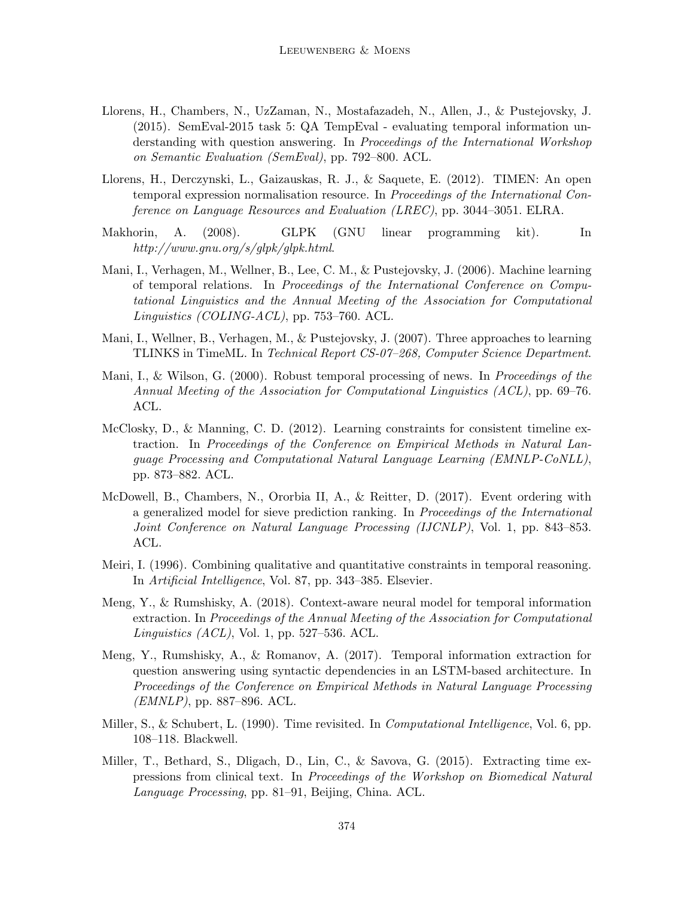- Llorens, H., Chambers, N., UzZaman, N., Mostafazadeh, N., Allen, J., & Pustejovsky, J. (2015). SemEval-2015 task 5: QA TempEval - evaluating temporal information understanding with question answering. In Proceedings of the International Workshop on Semantic Evaluation (SemEval), pp. 792–800. ACL.
- Llorens, H., Derczynski, L., Gaizauskas, R. J., & Saquete, E. (2012). TIMEN: An open temporal expression normalisation resource. In Proceedings of the International Conference on Language Resources and Evaluation (LREC), pp. 3044–3051. ELRA.
- Makhorin, A. (2008). GLPK (GNU linear programming kit). In http://www.gnu.org/s/glpk/glpk.html.
- Mani, I., Verhagen, M., Wellner, B., Lee, C. M., & Pustejovsky, J. (2006). Machine learning of temporal relations. In Proceedings of the International Conference on Computational Linguistics and the Annual Meeting of the Association for Computational Linguistics (COLING-ACL), pp. 753–760. ACL.
- Mani, I., Wellner, B., Verhagen, M., & Pustejovsky, J. (2007). Three approaches to learning TLINKS in TimeML. In Technical Report CS-07–268, Computer Science Department.
- Mani, I., & Wilson, G. (2000). Robust temporal processing of news. In Proceedings of the Annual Meeting of the Association for Computational Linguistics (ACL), pp. 69–76. ACL.
- McClosky, D., & Manning, C. D. (2012). Learning constraints for consistent timeline extraction. In Proceedings of the Conference on Empirical Methods in Natural Language Processing and Computational Natural Language Learning (EMNLP-CoNLL), pp. 873–882. ACL.
- McDowell, B., Chambers, N., Ororbia II, A., & Reitter, D. (2017). Event ordering with a generalized model for sieve prediction ranking. In Proceedings of the International Joint Conference on Natural Language Processing (IJCNLP), Vol. 1, pp. 843–853. ACL.
- Meiri, I. (1996). Combining qualitative and quantitative constraints in temporal reasoning. In Artificial Intelligence, Vol. 87, pp. 343–385. Elsevier.
- Meng, Y., & Rumshisky, A. (2018). Context-aware neural model for temporal information extraction. In Proceedings of the Annual Meeting of the Association for Computational  $Linguistics (ACL), Vol. 1, pp. 527-536. ACL.$
- Meng, Y., Rumshisky, A., & Romanov, A. (2017). Temporal information extraction for question answering using syntactic dependencies in an LSTM-based architecture. In Proceedings of the Conference on Empirical Methods in Natural Language Processing  $(EMNLP)$ , pp. 887–896. ACL.
- Miller, S., & Schubert, L. (1990). Time revisited. In *Computational Intelligence*, Vol. 6, pp. 108–118. Blackwell.
- Miller, T., Bethard, S., Dligach, D., Lin, C., & Savova, G. (2015). Extracting time expressions from clinical text. In Proceedings of the Workshop on Biomedical Natural Language Processing, pp. 81–91, Beijing, China. ACL.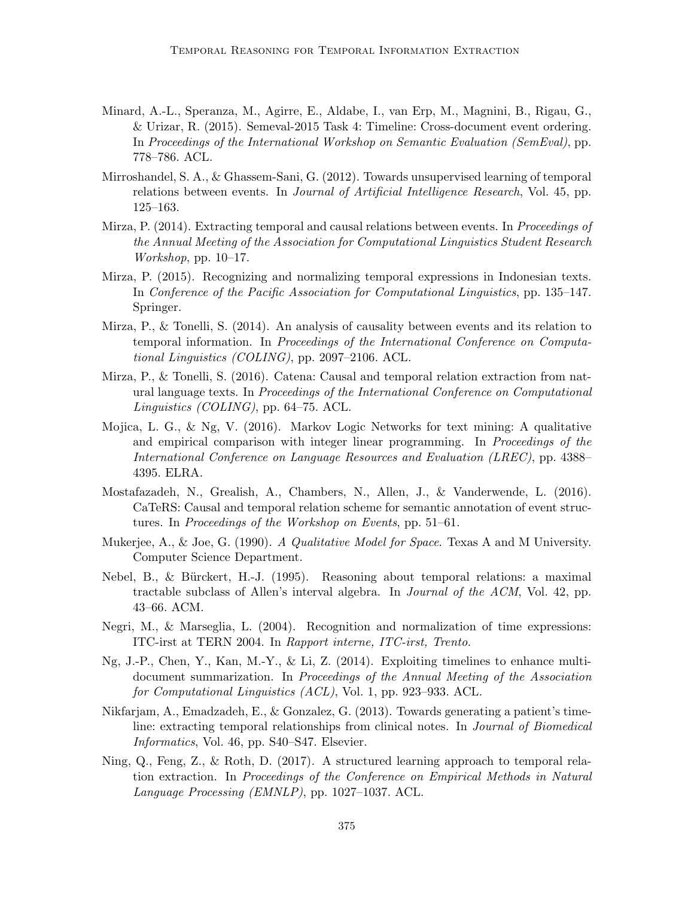- Minard, A.-L., Speranza, M., Agirre, E., Aldabe, I., van Erp, M., Magnini, B., Rigau, G., & Urizar, R. (2015). Semeval-2015 Task 4: Timeline: Cross-document event ordering. In Proceedings of the International Workshop on Semantic Evaluation (SemEval), pp. 778–786. ACL.
- Mirroshandel, S. A., & Ghassem-Sani, G. (2012). Towards unsupervised learning of temporal relations between events. In Journal of Artificial Intelligence Research, Vol. 45, pp. 125–163.
- Mirza, P. (2014). Extracting temporal and causal relations between events. In *Proceedings of* the Annual Meeting of the Association for Computational Linguistics Student Research Workshop, pp. 10–17.
- Mirza, P. (2015). Recognizing and normalizing temporal expressions in Indonesian texts. In Conference of the Pacific Association for Computational Linguistics, pp. 135–147. Springer.
- Mirza, P., & Tonelli, S. (2014). An analysis of causality between events and its relation to temporal information. In Proceedings of the International Conference on Computational Linguistics (COLING), pp. 2097–2106. ACL.
- Mirza, P., & Tonelli, S. (2016). Catena: Causal and temporal relation extraction from natural language texts. In Proceedings of the International Conference on Computational Linguistics (COLING), pp. 64–75. ACL.
- Mojica, L. G., & Ng, V. (2016). Markov Logic Networks for text mining: A qualitative and empirical comparison with integer linear programming. In *Proceedings of the* International Conference on Language Resources and Evaluation (LREC), pp. 4388– 4395. ELRA.
- Mostafazadeh, N., Grealish, A., Chambers, N., Allen, J., & Vanderwende, L. (2016). CaTeRS: Causal and temporal relation scheme for semantic annotation of event structures. In Proceedings of the Workshop on Events, pp. 51–61.
- Mukerjee, A., & Joe, G. (1990). A Qualitative Model for Space. Texas A and M University. Computer Science Department.
- Nebel, B., & B¨urckert, H.-J. (1995). Reasoning about temporal relations: a maximal tractable subclass of Allen's interval algebra. In Journal of the ACM, Vol. 42, pp. 43–66. ACM.
- Negri, M., & Marseglia, L. (2004). Recognition and normalization of time expressions: ITC-irst at TERN 2004. In Rapport interne, ITC-irst, Trento.
- Ng, J.-P., Chen, Y., Kan, M.-Y., & Li, Z. (2014). Exploiting timelines to enhance multidocument summarization. In Proceedings of the Annual Meeting of the Association for Computational Linguistics (ACL), Vol. 1, pp. 923–933. ACL.
- Nikfarjam, A., Emadzadeh, E., & Gonzalez, G. (2013). Towards generating a patient's timeline: extracting temporal relationships from clinical notes. In Journal of Biomedical Informatics, Vol. 46, pp. S40–S47. Elsevier.
- Ning, Q., Feng, Z., & Roth, D. (2017). A structured learning approach to temporal relation extraction. In Proceedings of the Conference on Empirical Methods in Natural Language Processing (EMNLP), pp. 1027–1037. ACL.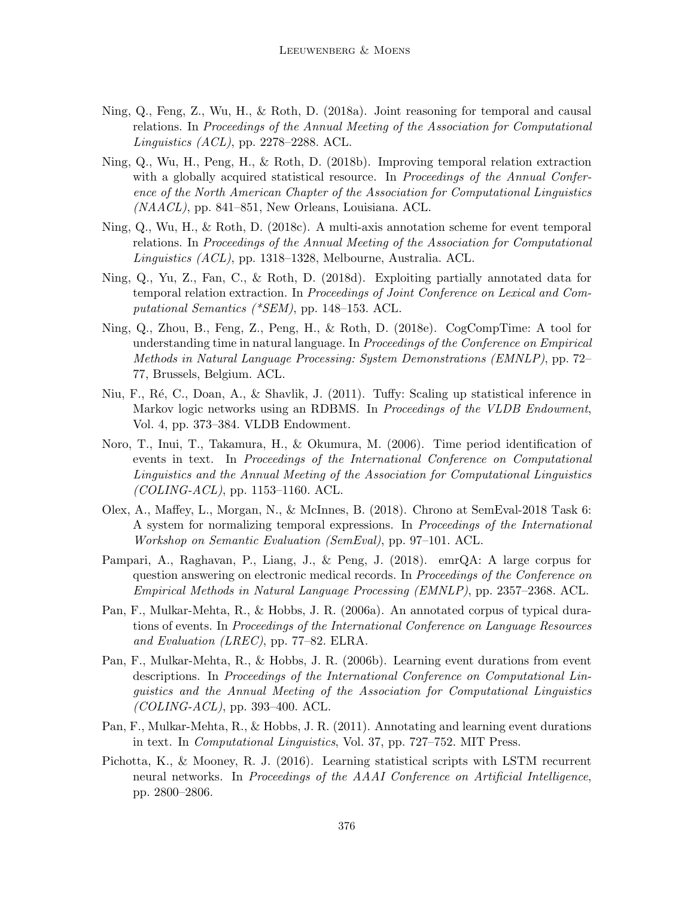- Ning, Q., Feng, Z., Wu, H., & Roth, D. (2018a). Joint reasoning for temporal and causal relations. In Proceedings of the Annual Meeting of the Association for Computational Linguistics (ACL), pp. 2278–2288. ACL.
- Ning, Q., Wu, H., Peng, H., & Roth, D. (2018b). Improving temporal relation extraction with a globally acquired statistical resource. In Proceedings of the Annual Conference of the North American Chapter of the Association for Computational Linguistics  $(NAACL)$ , pp. 841–851, New Orleans, Louisiana. ACL.
- Ning, Q., Wu, H., & Roth, D. (2018c). A multi-axis annotation scheme for event temporal relations. In Proceedings of the Annual Meeting of the Association for Computational Linguistics (ACL), pp. 1318–1328, Melbourne, Australia. ACL.
- Ning, Q., Yu, Z., Fan, C., & Roth, D. (2018d). Exploiting partially annotated data for temporal relation extraction. In Proceedings of Joint Conference on Lexical and Computational Semantics (\*SEM), pp. 148–153. ACL.
- Ning, Q., Zhou, B., Feng, Z., Peng, H., & Roth, D. (2018e). CogCompTime: A tool for understanding time in natural language. In Proceedings of the Conference on Empirical Methods in Natural Language Processing: System Demonstrations (EMNLP), pp. 72– 77, Brussels, Belgium. ACL.
- Niu, F., R´e, C., Doan, A., & Shavlik, J. (2011). Tuffy: Scaling up statistical inference in Markov logic networks using an RDBMS. In *Proceedings of the VLDB Endowment*, Vol. 4, pp. 373–384. VLDB Endowment.
- Noro, T., Inui, T., Takamura, H., & Okumura, M. (2006). Time period identification of events in text. In Proceedings of the International Conference on Computational Linguistics and the Annual Meeting of the Association for Computational Linguistics  $(COLING-ACL)$ , pp. 1153-1160. ACL.
- Olex, A., Maffey, L., Morgan, N., & McInnes, B. (2018). Chrono at SemEval-2018 Task 6: A system for normalizing temporal expressions. In Proceedings of the International Workshop on Semantic Evaluation (SemEval), pp. 97–101. ACL.
- Pampari, A., Raghavan, P., Liang, J., & Peng, J. (2018). emrQA: A large corpus for question answering on electronic medical records. In Proceedings of the Conference on Empirical Methods in Natural Language Processing (EMNLP), pp. 2357–2368. ACL.
- Pan, F., Mulkar-Mehta, R., & Hobbs, J. R. (2006a). An annotated corpus of typical durations of events. In Proceedings of the International Conference on Language Resources and Evaluation (LREC), pp. 77–82. ELRA.
- Pan, F., Mulkar-Mehta, R., & Hobbs, J. R. (2006b). Learning event durations from event descriptions. In Proceedings of the International Conference on Computational Linguistics and the Annual Meeting of the Association for Computational Linguistics  $(COLING-ACL)$ , pp. 393-400. ACL.
- Pan, F., Mulkar-Mehta, R., & Hobbs, J. R. (2011). Annotating and learning event durations in text. In Computational Linguistics, Vol. 37, pp. 727–752. MIT Press.
- Pichotta, K., & Mooney, R. J. (2016). Learning statistical scripts with LSTM recurrent neural networks. In Proceedings of the AAAI Conference on Artificial Intelligence, pp. 2800–2806.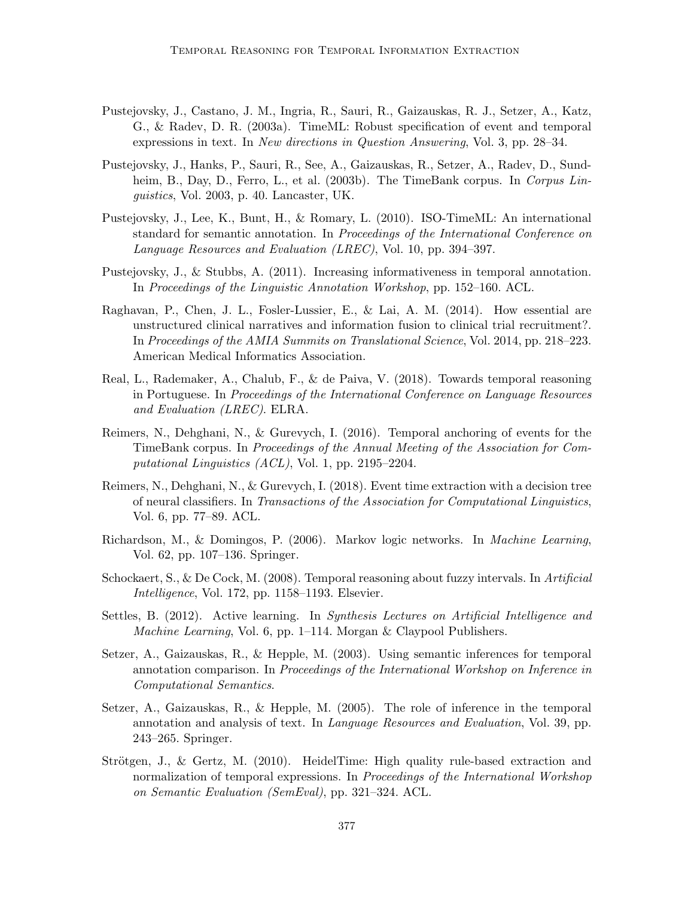- Pustejovsky, J., Castano, J. M., Ingria, R., Sauri, R., Gaizauskas, R. J., Setzer, A., Katz, G., & Radev, D. R. (2003a). TimeML: Robust specification of event and temporal expressions in text. In New directions in Question Answering, Vol. 3, pp. 28–34.
- Pustejovsky, J., Hanks, P., Sauri, R., See, A., Gaizauskas, R., Setzer, A., Radev, D., Sundheim, B., Day, D., Ferro, L., et al. (2003b). The TimeBank corpus. In Corpus Linguistics, Vol. 2003, p. 40. Lancaster, UK.
- Pustejovsky, J., Lee, K., Bunt, H., & Romary, L. (2010). ISO-TimeML: An international standard for semantic annotation. In Proceedings of the International Conference on Language Resources and Evaluation (LREC), Vol. 10, pp. 394–397.
- Pustejovsky, J., & Stubbs, A. (2011). Increasing informativeness in temporal annotation. In Proceedings of the Linguistic Annotation Workshop, pp. 152–160. ACL.
- Raghavan, P., Chen, J. L., Fosler-Lussier, E., & Lai, A. M. (2014). How essential are unstructured clinical narratives and information fusion to clinical trial recruitment?. In Proceedings of the AMIA Summits on Translational Science, Vol. 2014, pp. 218–223. American Medical Informatics Association.
- Real, L., Rademaker, A., Chalub, F., & de Paiva, V. (2018). Towards temporal reasoning in Portuguese. In Proceedings of the International Conference on Language Resources and Evaluation (LREC). ELRA.
- Reimers, N., Dehghani, N., & Gurevych, I. (2016). Temporal anchoring of events for the TimeBank corpus. In Proceedings of the Annual Meeting of the Association for Computational Linguistics (ACL), Vol. 1, pp. 2195–2204.
- Reimers, N., Dehghani, N., & Gurevych, I. (2018). Event time extraction with a decision tree of neural classifiers. In Transactions of the Association for Computational Linguistics, Vol. 6, pp. 77–89. ACL.
- Richardson, M., & Domingos, P. (2006). Markov logic networks. In Machine Learning, Vol. 62, pp. 107–136. Springer.
- Schockaert, S., & De Cock, M. (2008). Temporal reasoning about fuzzy intervals. In Artificial Intelligence, Vol. 172, pp. 1158–1193. Elsevier.
- Settles, B. (2012). Active learning. In Synthesis Lectures on Artificial Intelligence and Machine Learning, Vol. 6, pp. 1–114. Morgan & Claypool Publishers.
- Setzer, A., Gaizauskas, R., & Hepple, M. (2003). Using semantic inferences for temporal annotation comparison. In Proceedings of the International Workshop on Inference in Computational Semantics.
- Setzer, A., Gaizauskas, R., & Hepple, M. (2005). The role of inference in the temporal annotation and analysis of text. In Language Resources and Evaluation, Vol. 39, pp. 243–265. Springer.
- Strötgen, J., & Gertz, M.  $(2010)$ . HeidelTime: High quality rule-based extraction and normalization of temporal expressions. In *Proceedings of the International Workshop* on Semantic Evaluation (SemEval), pp. 321–324. ACL.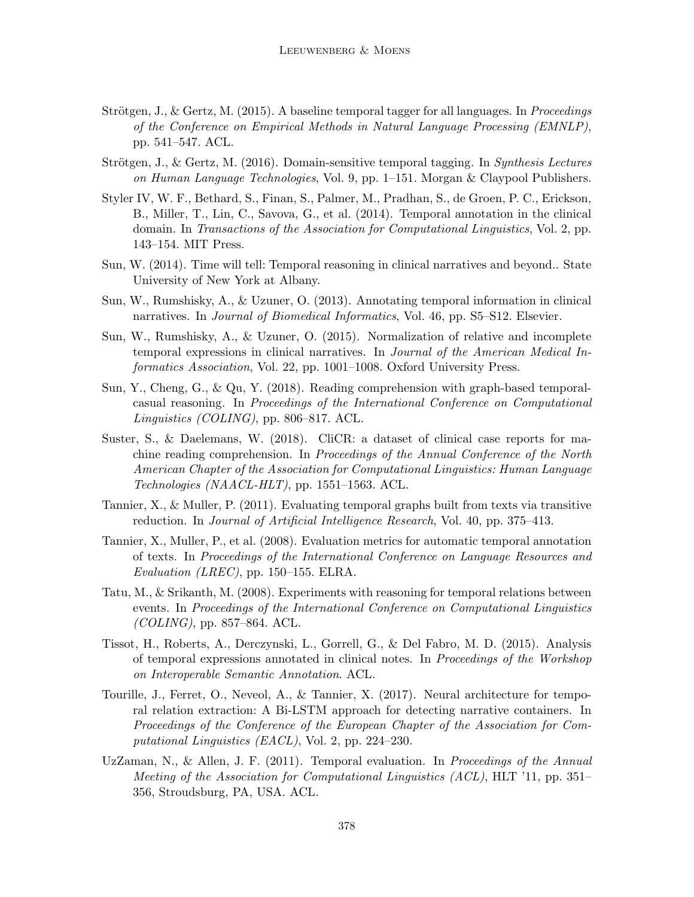- Strötgen, J., & Gertz, M. (2015). A baseline temporal tagger for all languages. In *Proceedings* of the Conference on Empirical Methods in Natural Language Processing (EMNLP), pp. 541–547. ACL.
- Strötgen, J., & Gertz, M.  $(2016)$ . Domain-sensitive temporal tagging. In Synthesis Lectures on Human Language Technologies, Vol. 9, pp.  $1-151$ . Morgan & Claypool Publishers.
- Styler IV, W. F., Bethard, S., Finan, S., Palmer, M., Pradhan, S., de Groen, P. C., Erickson, B., Miller, T., Lin, C., Savova, G., et al. (2014). Temporal annotation in the clinical domain. In Transactions of the Association for Computational Linguistics, Vol. 2, pp. 143–154. MIT Press.
- Sun, W. (2014). Time will tell: Temporal reasoning in clinical narratives and beyond.. State University of New York at Albany.
- Sun, W., Rumshisky, A., & Uzuner, O. (2013). Annotating temporal information in clinical narratives. In *Journal of Biomedical Informatics*, Vol. 46, pp. S5–S12. Elsevier.
- Sun, W., Rumshisky, A., & Uzuner, O. (2015). Normalization of relative and incomplete temporal expressions in clinical narratives. In Journal of the American Medical Informatics Association, Vol. 22, pp. 1001–1008. Oxford University Press.
- Sun, Y., Cheng, G., & Qu, Y. (2018). Reading comprehension with graph-based temporalcasual reasoning. In Proceedings of the International Conference on Computational Linguistics (COLING), pp. 806–817. ACL.
- Suster, S., & Daelemans, W. (2018). CliCR: a dataset of clinical case reports for machine reading comprehension. In Proceedings of the Annual Conference of the North American Chapter of the Association for Computational Linguistics: Human Language Technologies (NAACL-HLT), pp. 1551–1563. ACL.
- Tannier, X., & Muller, P. (2011). Evaluating temporal graphs built from texts via transitive reduction. In Journal of Artificial Intelligence Research, Vol. 40, pp. 375–413.
- Tannier, X., Muller, P., et al. (2008). Evaluation metrics for automatic temporal annotation of texts. In Proceedings of the International Conference on Language Resources and Evaluation (LREC), pp. 150–155. ELRA.
- Tatu, M., & Srikanth, M. (2008). Experiments with reasoning for temporal relations between events. In Proceedings of the International Conference on Computational Linguistics  $(COLING)$ , pp. 857–864. ACL.
- Tissot, H., Roberts, A., Derczynski, L., Gorrell, G., & Del Fabro, M. D. (2015). Analysis of temporal expressions annotated in clinical notes. In Proceedings of the Workshop on Interoperable Semantic Annotation. ACL.
- Tourille, J., Ferret, O., Neveol, A., & Tannier, X. (2017). Neural architecture for temporal relation extraction: A Bi-LSTM approach for detecting narrative containers. In Proceedings of the Conference of the European Chapter of the Association for Computational Linguistics (EACL), Vol. 2, pp. 224–230.
- UzZaman, N., & Allen, J. F. (2011). Temporal evaluation. In Proceedings of the Annual Meeting of the Association for Computational Linguistics (ACL), HLT '11, pp. 351– 356, Stroudsburg, PA, USA. ACL.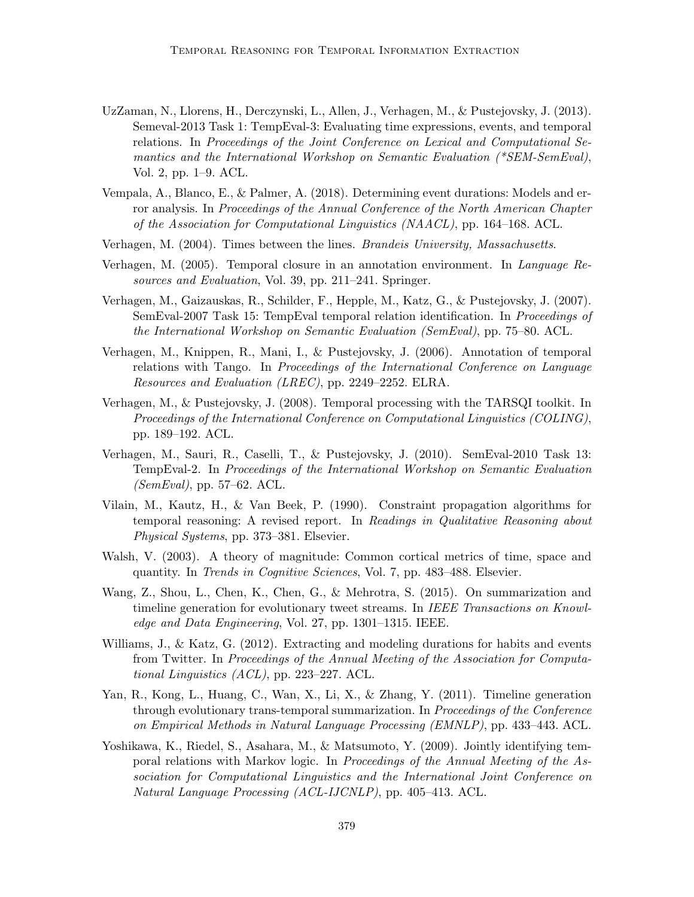- UzZaman, N., Llorens, H., Derczynski, L., Allen, J., Verhagen, M., & Pustejovsky, J. (2013). Semeval-2013 Task 1: TempEval-3: Evaluating time expressions, events, and temporal relations. In Proceedings of the Joint Conference on Lexical and Computational Semantics and the International Workshop on Semantic Evaluation (\*SEM-SemEval), Vol. 2, pp. 1–9. ACL.
- Vempala, A., Blanco, E., & Palmer, A. (2018). Determining event durations: Models and error analysis. In Proceedings of the Annual Conference of the North American Chapter of the Association for Computational Linguistics (NAACL), pp. 164–168. ACL.
- Verhagen, M. (2004). Times between the lines. Brandeis University, Massachusetts.
- Verhagen, M. (2005). Temporal closure in an annotation environment. In Language Resources and Evaluation, Vol. 39, pp. 211–241. Springer.
- Verhagen, M., Gaizauskas, R., Schilder, F., Hepple, M., Katz, G., & Pustejovsky, J. (2007). SemEval-2007 Task 15: TempEval temporal relation identification. In Proceedings of the International Workshop on Semantic Evaluation (SemEval), pp. 75–80. ACL.
- Verhagen, M., Knippen, R., Mani, I., & Pustejovsky, J. (2006). Annotation of temporal relations with Tango. In Proceedings of the International Conference on Language Resources and Evaluation (LREC), pp. 2249–2252. ELRA.
- Verhagen, M., & Pustejovsky, J. (2008). Temporal processing with the TARSQI toolkit. In Proceedings of the International Conference on Computational Linguistics (COLING), pp. 189–192. ACL.
- Verhagen, M., Sauri, R., Caselli, T., & Pustejovsky, J. (2010). SemEval-2010 Task 13: TempEval-2. In Proceedings of the International Workshop on Semantic Evaluation (SemEval), pp. 57–62. ACL.
- Vilain, M., Kautz, H., & Van Beek, P. (1990). Constraint propagation algorithms for temporal reasoning: A revised report. In Readings in Qualitative Reasoning about Physical Systems, pp. 373–381. Elsevier.
- Walsh, V. (2003). A theory of magnitude: Common cortical metrics of time, space and quantity. In Trends in Cognitive Sciences, Vol. 7, pp. 483–488. Elsevier.
- Wang, Z., Shou, L., Chen, K., Chen, G., & Mehrotra, S. (2015). On summarization and timeline generation for evolutionary tweet streams. In IEEE Transactions on Knowledge and Data Engineering, Vol. 27, pp. 1301–1315. IEEE.
- Williams, J., & Katz, G. (2012). Extracting and modeling durations for habits and events from Twitter. In Proceedings of the Annual Meeting of the Association for Computational Linguistics (ACL), pp. 223–227. ACL.
- Yan, R., Kong, L., Huang, C., Wan, X., Li, X., & Zhang, Y. (2011). Timeline generation through evolutionary trans-temporal summarization. In Proceedings of the Conference on Empirical Methods in Natural Language Processing (EMNLP), pp. 433–443. ACL.
- Yoshikawa, K., Riedel, S., Asahara, M., & Matsumoto, Y. (2009). Jointly identifying temporal relations with Markov logic. In Proceedings of the Annual Meeting of the Association for Computational Linguistics and the International Joint Conference on Natural Language Processing (ACL-IJCNLP), pp. 405–413. ACL.